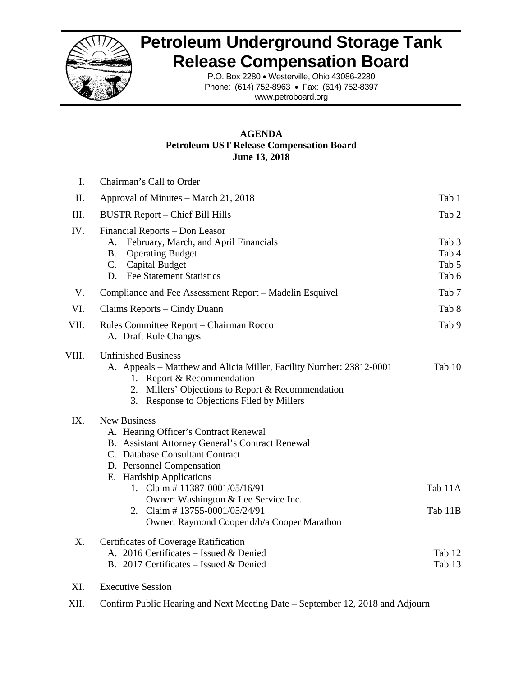

# **Petroleum Underground Storage Tank Release Compensation Board**

P.O. Box 2280 • Westerville, Ohio 43086-2280 Phone: (614) 752-8963 • Fax: (614) 752-8397 www.petroboard.org

#### **AGENDA Petroleum UST Release Compensation Board June 13, 2018**

| I.    | Chairman's Call to Order                                                                                                                                                                                                                                                                                                                                               |                                  |
|-------|------------------------------------------------------------------------------------------------------------------------------------------------------------------------------------------------------------------------------------------------------------------------------------------------------------------------------------------------------------------------|----------------------------------|
| П.    | Approval of Minutes – March 21, 2018                                                                                                                                                                                                                                                                                                                                   | Tab 1                            |
| Ш.    | <b>BUSTR Report – Chief Bill Hills</b>                                                                                                                                                                                                                                                                                                                                 | Tab 2                            |
| IV.   | Financial Reports – Don Leasor<br>February, March, and April Financials<br>А.<br><b>Operating Budget</b><br><b>B.</b><br>C. Capital Budget<br>D. Fee Statement Statistics                                                                                                                                                                                              | Tab 3<br>Tab 4<br>Tab 5<br>Tab 6 |
| V.    | Compliance and Fee Assessment Report – Madelin Esquivel                                                                                                                                                                                                                                                                                                                | Tab 7                            |
| VI.   | Claims Reports – Cindy Duann                                                                                                                                                                                                                                                                                                                                           | Tab 8                            |
| VII.  | Rules Committee Report – Chairman Rocco<br>A. Draft Rule Changes                                                                                                                                                                                                                                                                                                       | Tab 9                            |
| VIII. | <b>Unfinished Business</b><br>A. Appeals – Matthew and Alicia Miller, Facility Number: 23812-0001<br>1. Report & Recommendation<br>2. Millers' Objections to Report & Recommendation<br>3. Response to Objections Filed by Millers                                                                                                                                     | Tab 10                           |
| IX.   | <b>New Business</b><br>A. Hearing Officer's Contract Renewal<br>B. Assistant Attorney General's Contract Renewal<br>C. Database Consultant Contract<br>D. Personnel Compensation<br>E. Hardship Applications<br>1. Claim # 11387-0001/05/16/91<br>Owner: Washington & Lee Service Inc.<br>2. Claim #13755-0001/05/24/91<br>Owner: Raymond Cooper d/b/a Cooper Marathon | Tab 11A<br>Tab 11B               |
| X.    | <b>Certificates of Coverage Ratification</b><br>A. 2016 Certificates - Issued & Denied<br>B. 2017 Certificates - Issued & Denied                                                                                                                                                                                                                                       | Tab 12<br>Tab 13                 |

- XI. Executive Session
- XII. Confirm Public Hearing and Next Meeting Date September 12, 2018 and Adjourn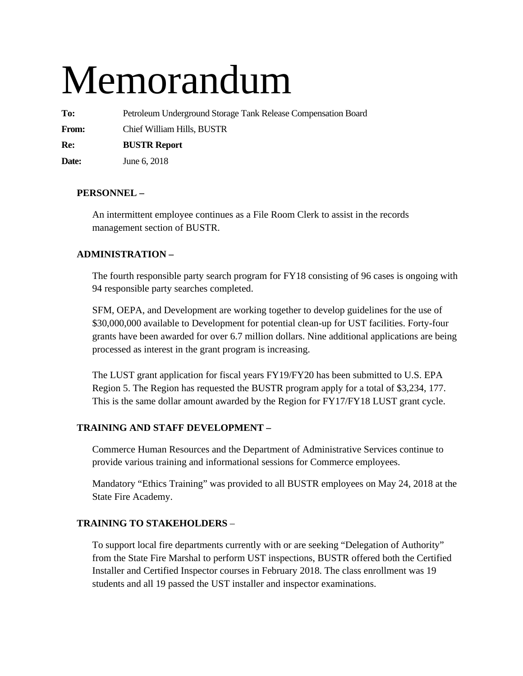# Memorandum

**To:** Petroleum Underground Storage Tank Release Compensation Board

**From:** Chief William Hills, BUSTR

**Re: BUSTR Report** 

**Date:** June 6, 2018

#### **PERSONNEL –**

An intermittent employee continues as a File Room Clerk to assist in the records management section of BUSTR.

#### **ADMINISTRATION –**

The fourth responsible party search program for FY18 consisting of 96 cases is ongoing with 94 responsible party searches completed.

SFM, OEPA, and Development are working together to develop guidelines for the use of \$30,000,000 available to Development for potential clean-up for UST facilities. Forty-four grants have been awarded for over 6.7 million dollars. Nine additional applications are being processed as interest in the grant program is increasing.

The LUST grant application for fiscal years FY19/FY20 has been submitted to U.S. EPA Region 5. The Region has requested the BUSTR program apply for a total of \$3,234, 177. This is the same dollar amount awarded by the Region for FY17/FY18 LUST grant cycle.

#### **TRAINING AND STAFF DEVELOPMENT –**

Commerce Human Resources and the Department of Administrative Services continue to provide various training and informational sessions for Commerce employees.

Mandatory "Ethics Training" was provided to all BUSTR employees on May 24, 2018 at the State Fire Academy.

#### **TRAINING TO STAKEHOLDERS** –

To support local fire departments currently with or are seeking "Delegation of Authority" from the State Fire Marshal to perform UST inspections, BUSTR offered both the Certified Installer and Certified Inspector courses in February 2018. The class enrollment was 19 students and all 19 passed the UST installer and inspector examinations.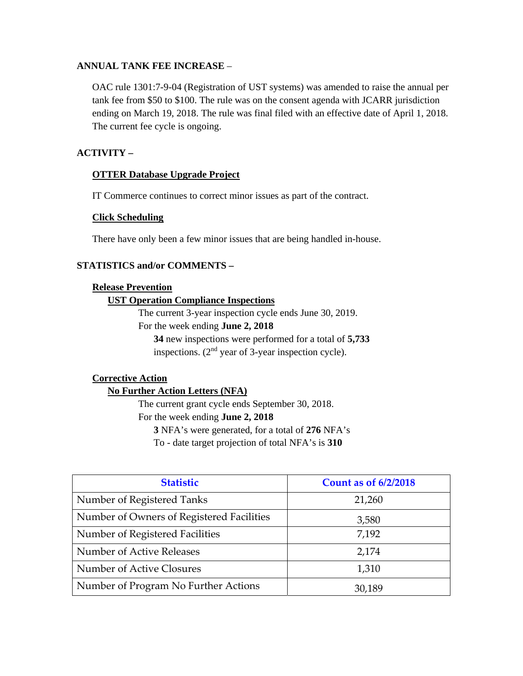#### **ANNUAL TANK FEE INCREASE** –

OAC rule 1301:7-9-04 (Registration of UST systems) was amended to raise the annual per tank fee from \$50 to \$100. The rule was on the consent agenda with JCARR jurisdiction ending on March 19, 2018. The rule was final filed with an effective date of April 1, 2018. The current fee cycle is ongoing.

#### **ACTIVITY –**

#### **OTTER Database Upgrade Project**

IT Commerce continues to correct minor issues as part of the contract.

#### **Click Scheduling**

There have only been a few minor issues that are being handled in-house.

#### **STATISTICS and/or COMMENTS –**

#### **Release Prevention**

#### **UST Operation Compliance Inspections**

The current 3-year inspection cycle ends June 30, 2019.

For the week ending **June 2, 2018** 

**34** new inspections were performed for a total of **5,733** inspections. (2nd year of 3-year inspection cycle).

#### **Corrective Action**

#### **No Further Action Letters (NFA)**

The current grant cycle ends September 30, 2018. For the week ending **June 2, 2018 3** NFA's were generated, for a total of **276** NFA's To - date target projection of total NFA's is **310** 

| <b>Statistic</b>                          | <b>Count as of 6/2/2018</b> |
|-------------------------------------------|-----------------------------|
| Number of Registered Tanks                | 21,260                      |
| Number of Owners of Registered Facilities | 3,580                       |
| Number of Registered Facilities           | 7,192                       |
| Number of Active Releases                 | 2,174                       |
| Number of Active Closures                 | 1,310                       |
| Number of Program No Further Actions      | 30,189                      |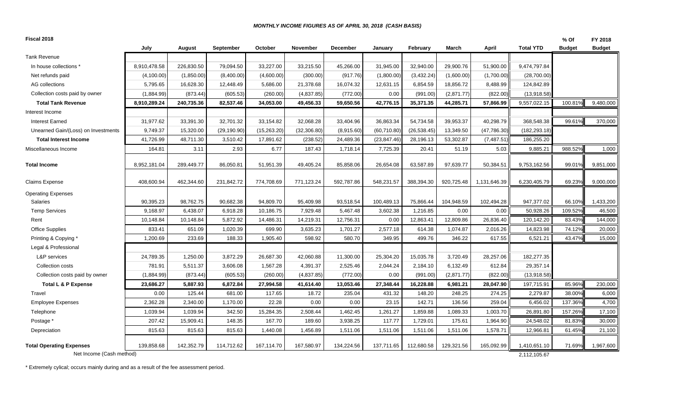#### *MONTHLY INCOME FIGURES AS OF APRIL 30, 2018 (CASH BASIS)*

| Fiscal 2018                         |              |            |              |             |              |                 |              |              |            |              |                  | % Of          | FY 2018       |
|-------------------------------------|--------------|------------|--------------|-------------|--------------|-----------------|--------------|--------------|------------|--------------|------------------|---------------|---------------|
|                                     | July         | August     | September    | October     | November     | <b>December</b> | January      | February     | March      | April        | <b>Total YTD</b> | <b>Budget</b> | <b>Budget</b> |
| Tank Revenue                        |              |            |              |             |              |                 |              |              |            |              |                  |               |               |
| In house collections '              | 8,910,478.58 | 226,830.50 | 79,094.50    | 33,227.00   | 33,215.50    | 45,266.00       | 31,945.00    | 32,940.00    | 29,900.76  | 51,900.00    | 9,474,797.84     |               |               |
| Net refunds paid                    | (4,100.00)   | (1,850.00) | (8,400.00)   | (4,600.00)  | (300.00)     | (917.76)        | (1,800.00)   | (3,432.24)   | (1,600.00) | (1,700.00)   | (28,700.00)      |               |               |
| AG collections                      | 5,795.65     | 16,628.30  | 12,448.49    | 5,686.00    | 21,378.68    | 16,074.32       | 12,631.15    | 6,854.59     | 18,856.72  | 8,488.99     | 124,842.89       |               |               |
| Collection costs paid by owner      | (1,884.99)   | (873.44)   | (605.53)     | (260.00)    | (4,837.85)   | (772.00)        | 0.00         | (991.00)     | (2,871.77) | (822.00)     | (13,918.58)      |               |               |
| <b>Total Tank Revenue</b>           | 8,910,289.24 | 240,735.36 | 82,537.46    | 34,053.00   | 49,456.33    | 59,650.56       | 42,776.15    | 35,371.35    | 44,285.71  | 57,866.99    | 9,557,022.15     | 100.81%       | 9,480,000     |
| Interest Income                     |              |            |              |             |              |                 |              |              |            |              |                  |               |               |
| <b>Interest Earned</b>              | 31,977.62    | 33,391.30  | 32,701.32    | 33,154.82   | 32,068.28    | 33,404.96       | 36,863.34    | 54,734.58    | 39,953.37  | 40,298.79    | 368,548.38       | 99.61%        | 370,000       |
| Unearned Gain/(Loss) on Investments | 9,749.37     | 15,320.00  | (29, 190.90) | (15,263.20) | (32, 306.80) | (8,915.60)      | (60, 710.80) | (26, 538.45) | 13,349.50  | (47,786.30)  | (182, 293.18)    |               |               |
| <b>Total Interest Income</b>        | 41,726.99    | 48,711.30  | 3,510.42     | 17,891.62   | (238.52)     | 24,489.36       | (23, 847.46) | 28,196.13    | 53,302.87  | (7, 487.51)  | 186,255.20       |               |               |
| Miscellaneous Income                | 164.81       | 3.11       | 2.93         | 6.77        | 187.43       | 1,718.14        | 7,725.39     | 20.41        | 51.19      | 5.03         | 9,885.21         | 988.52%       | 1,000         |
| <b>Total Income</b>                 | 8,952,181.04 | 289,449.77 | 86,050.81    | 51,951.39   | 49,405.24    | 85,858.06       | 26,654.08    | 63,587.89    | 97,639.77  | 50,384.51    | 9,753,162.56     | 99.01%        | 9,851,000     |
| Claims Expense                      | 408,600.94   | 462,344.60 | 231,842.72   | 774,708.69  | 771,123.24   | 592,787.86      | 548,231.57   | 388,394.30   | 920,725.48 | 1,131,646.39 | 6,230,405.79     | 69.23%        | 9,000,000     |
| <b>Operating Expenses</b>           |              |            |              |             |              |                 |              |              |            |              |                  |               |               |
| Salaries                            | 90,395.23    | 98,762.75  | 90,682.38    | 94,809.70   | 95,409.98    | 93,518.54       | 100,489.13   | 75,866.44    | 104,948.59 | 102,494.28   | 947,377.02       | 66.10%        | 1,433,200     |
| <b>Temp Services</b>                | 9,168.97     | 6,438.07   | 6,918.28     | 10,186.75   | 7,929.48     | 5,467.48        | 3,602.38     | 1,216.85     | 0.00       | 0.00         | 50,928.26        | 109.52%       | 46,500        |
| Rent                                | 10,148.84    | 10,148.84  | 5,872.92     | 14,486.31   | 14,219.31    | 12,756.31       | 0.00         | 12,863.41    | 12,809.86  | 26,836.40    | 120,142.20       | 83.43%        | 144,000       |
| <b>Office Supplies</b>              | 833.41       | 651.09     | 1,020.39     | 699.90      | 3,635.23     | 1,701.27        | 2,577.18     | 614.38       | 1,074.87   | 2,016.26     | 14,823.98        | 74.12%        | 20,000        |
| Printing & Copying *                | 1,200.69     | 233.69     | 188.33       | 1,905.40    | 598.92       | 580.70          | 349.95       | 499.76       | 346.22     | 617.55       | 6,521.21         | 43.47%        | 15,000        |
| Legal & Professional                |              |            |              |             |              |                 |              |              |            |              |                  |               |               |
| L&P services                        | 24,789.35    | 1,250.00   | 3,872.29     | 26,687.30   | 42,060.88    | 11,300.00       | 25,304.20    | 15,035.78    | 3,720.49   | 28,257.06    | 182,277.35       |               |               |
| Collection costs                    | 781.91       | 5,511.37   | 3,606.08     | 1,567.28    | 4,391.37     | 2,525.46        | 2,044.24     | 2,184.10     | 6,132.49   | 612.84       | 29,357.14        |               |               |
| Collection costs paid by owner      | (1,884.99)   | (873.44)   | (605.53)     | (260.00)    | (4,837.85)   | (772.00)        | 0.00         | (991.00)     | (2,871.77) | (822.00)     | (13,918.58)      |               |               |
| Total L & P Expense                 | 23,686.27    | 5,887.93   | 6,872.84     | 27,994.58   | 41,614.40    | 13,053.46       | 27,348.44    | 16,228.88    | 6,981.21   | 28,047.90    | 197,715.91       | 85.96%        | 230,000       |
| Travel                              | 0.00         | 125.44     | 681.00       | 117.65      | 18.72        | 235.04          | 431.32       | 148.20       | 248.25     | 274.25       | 2,279.87         | 38.00%        | 6,000         |
| <b>Employee Expenses</b>            | 2,362.28     | 2,340.00   | 1,170.00     | 22.28       | 0.00         | 0.00            | 23.15        | 142.71       | 136.56     | 259.04       | 6,456.02         | 137.36%       | 4,700         |
| Telephone                           | 1,039.94     | 1,039.94   | 342.50       | 15,284.35   | 2,508.44     | 1,462.45        | 1,261.27     | 1,859.88     | 1,089.33   | 1,003.70     | 26,891.80        | 157.26%       | 17,100        |
| Postage *                           | 207.42       | 15,909.41  | 148.35       | 167.70      | 189.60       | 3,938.25        | 117.77       | 1,729.01     | 175.61     | 1,964.90     | 24,548.02        | 81.83%        | 30,000        |
| Depreciation                        | 815.63       | 815.63     | 815.63       | 1,440.08    | 1,456.89     | 1,511.06        | 1,511.06     | 1,511.06     | 1,511.06   | 1,578.71     | 12,966.81        | 61.45%        | 21,100        |
| <b>Total Operating Expenses</b>     | 139,858.68   | 142,352.79 | 114,712.62   | 167,114.70  | 167,580.97   | 134,224.56      | 137,711.65   | 112,680.58   | 129,321.56 | 165,092.99   | 1,410,651.10     | 71.69%        | 1,967,600     |
| Net Income (Cash method)            |              |            |              |             |              |                 |              |              |            |              | 2,112,105.67     |               |               |

\* Extremely cylical; occurs mainly during and as a result of the fee assessment period.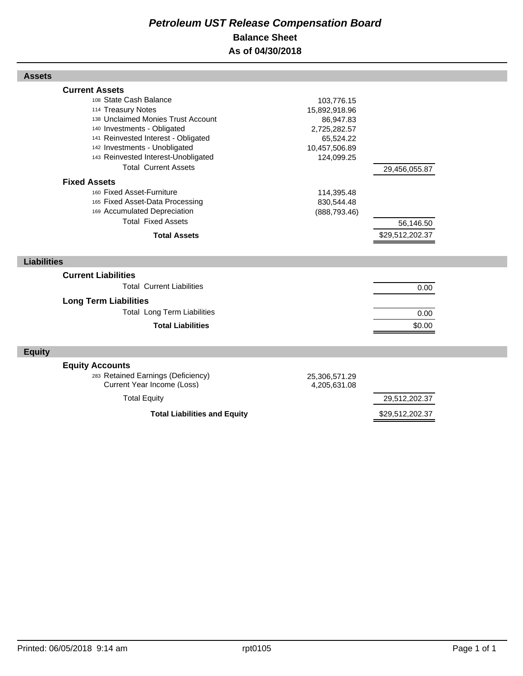# *Petroleum UST Release Compensation Board*  **Balance Sheet As of 04/30/2018**

| <b>Assets</b>                                                                                                                                                                                                                                                                            |                                                                                                      |                 |  |
|------------------------------------------------------------------------------------------------------------------------------------------------------------------------------------------------------------------------------------------------------------------------------------------|------------------------------------------------------------------------------------------------------|-----------------|--|
| <b>Current Assets</b><br>108 State Cash Balance<br>114 Treasury Notes<br>138 Unclaimed Monies Trust Account<br>140 Investments - Obligated<br>141 Reinvested Interest - Obligated<br>142 Investments - Unobligated<br>143 Reinvested Interest-Unobligated<br><b>Total Current Assets</b> | 103,776.15<br>15,892,918.96<br>86,947.83<br>2,725,282.57<br>65,524.22<br>10,457,506.89<br>124,099.25 | 29,456,055.87   |  |
| <b>Fixed Assets</b><br>160 Fixed Asset-Furniture<br>165 Fixed Asset-Data Processing<br>169 Accumulated Depreciation<br><b>Total Fixed Assets</b>                                                                                                                                         | 114,395.48<br>830,544.48<br>(888, 793.46)                                                            | 56,146.50       |  |
| <b>Total Assets</b>                                                                                                                                                                                                                                                                      |                                                                                                      | \$29,512,202.37 |  |
| <b>Liabilities</b>                                                                                                                                                                                                                                                                       |                                                                                                      |                 |  |
| <b>Current Liabilities</b><br><b>Total Current Liabilities</b>                                                                                                                                                                                                                           |                                                                                                      | 0.00            |  |
| <b>Long Term Liabilities</b>                                                                                                                                                                                                                                                             |                                                                                                      |                 |  |
| <b>Total Long Term Liabilities</b>                                                                                                                                                                                                                                                       |                                                                                                      | 0.00            |  |
| <b>Total Liabilities</b>                                                                                                                                                                                                                                                                 |                                                                                                      | \$0.00          |  |
| <b>Equity</b>                                                                                                                                                                                                                                                                            |                                                                                                      |                 |  |
| <b>Equity Accounts</b><br>283 Retained Earnings (Deficiency)<br>Current Year Income (Loss)                                                                                                                                                                                               | 25,306,571.29<br>4,205,631.08                                                                        |                 |  |
| <b>Total Equity</b>                                                                                                                                                                                                                                                                      |                                                                                                      | 29,512,202.37   |  |
| <b>Total Liabilities and Equity</b>                                                                                                                                                                                                                                                      |                                                                                                      | \$29,512,202.37 |  |

Г

Г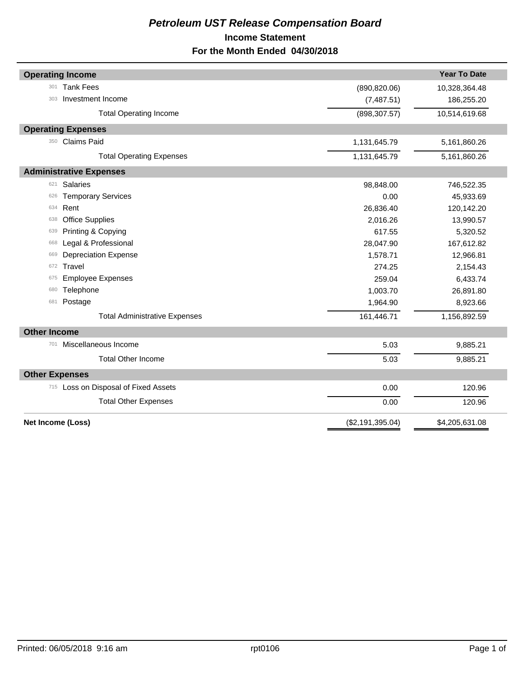# *Petroleum UST Release Compensation Board*  **Income Statement For the Month Ended 04/30/2018**

| <b>Operating Income</b>              |                  | <b>Year To Date</b> |
|--------------------------------------|------------------|---------------------|
| <b>Tank Fees</b><br>301              | (890, 820.06)    | 10,328,364.48       |
| Investment Income<br>303             | (7,487.51)       | 186,255.20          |
| <b>Total Operating Income</b>        | (898, 307.57)    | 10,514,619.68       |
| <b>Operating Expenses</b>            |                  |                     |
| 350 Claims Paid                      | 1,131,645.79     | 5,161,860.26        |
| <b>Total Operating Expenses</b>      | 1,131,645.79     | 5,161,860.26        |
| <b>Administrative Expenses</b>       |                  |                     |
| Salaries<br>621                      | 98,848.00        | 746,522.35          |
| <b>Temporary Services</b><br>626     | 0.00             | 45,933.69           |
| Rent<br>634                          | 26,836.40        | 120,142.20          |
| <b>Office Supplies</b><br>638        | 2,016.26         | 13,990.57           |
| Printing & Copying<br>639            | 617.55           | 5,320.52            |
| Legal & Professional<br>668          | 28,047.90        | 167,612.82          |
| <b>Depreciation Expense</b><br>669   | 1,578.71         | 12,966.81           |
| Travel<br>672                        | 274.25           | 2,154.43            |
| <b>Employee Expenses</b><br>675      | 259.04           | 6,433.74            |
| Telephone<br>680                     | 1,003.70         | 26,891.80           |
| Postage<br>681                       | 1,964.90         | 8,923.66            |
| <b>Total Administrative Expenses</b> | 161,446.71       | 1,156,892.59        |
| <b>Other Income</b>                  |                  |                     |
| Miscellaneous Income<br>701          | 5.03             | 9,885.21            |
| <b>Total Other Income</b>            | 5.03             | 9,885.21            |
| <b>Other Expenses</b>                |                  |                     |
| 715 Loss on Disposal of Fixed Assets | 0.00             | 120.96              |
| <b>Total Other Expenses</b>          | 0.00             | 120.96              |
| Net Income (Loss)                    | (\$2,191,395.04) | \$4,205,631.08      |
|                                      |                  |                     |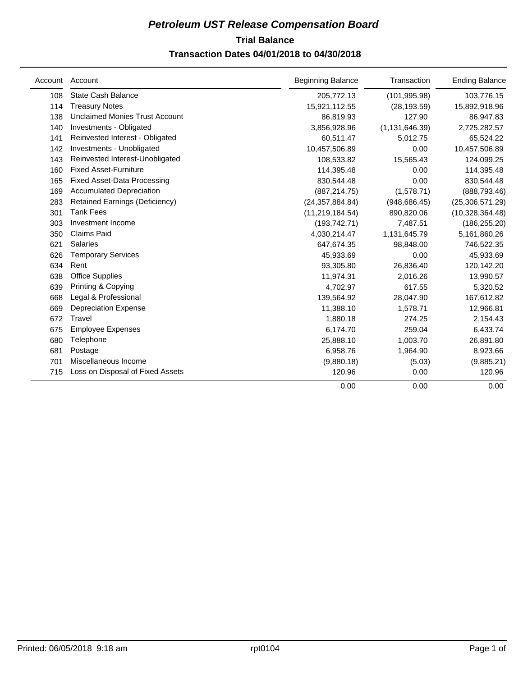# **Trial Balance** *Petroleum UST Release Compensation Board*  **Transaction Dates 04/01/2018 to 04/30/2018**

|     | Account Account                       | <b>Beginning Balance</b> | Transaction      | <b>Ending Balance</b> |
|-----|---------------------------------------|--------------------------|------------------|-----------------------|
| 108 | <b>State Cash Balance</b>             | 205,772.13               | (101, 995.98)    | 103,776.15            |
| 114 | <b>Treasury Notes</b>                 | 15,921,112.55            | (28, 193.59)     | 15,892,918.96         |
| 138 | <b>Unclaimed Monies Trust Account</b> | 86,819.93                | 127.90           | 86,947.83             |
| 140 | Investments - Obligated               | 3,856,928.96             | (1, 131, 646.39) | 2,725,282.57          |
| 141 | Reinvested Interest - Obligated       | 60,511.47                | 5,012.75         | 65,524.22             |
| 142 | Investments - Unobligated             | 10,457,506.89            | 0.00             | 10,457,506.89         |
| 143 | Reinvested Interest-Unobligated       | 108,533.82               | 15,565.43        | 124,099.25            |
| 160 | <b>Fixed Asset-Furniture</b>          | 114,395.48               | 0.00             | 114,395.48            |
| 165 | <b>Fixed Asset-Data Processing</b>    | 830,544.48               | 0.00             | 830,544.48            |
| 169 | <b>Accumulated Depreciation</b>       | (887, 214.75)            | (1,578.71)       | (888, 793.46)         |
| 283 | Retained Earnings (Deficiency)        | (24, 357, 884.84)        | (948, 686.45)    | (25, 306, 571.29)     |
| 301 | <b>Tank Fees</b>                      | (11, 219, 184.54)        | 890,820.06       | (10,328,364.48)       |
| 303 | Investment Income                     | (193, 742.71)            | 7,487.51         | (186, 255.20)         |
| 350 | <b>Claims Paid</b>                    | 4,030,214.47             | 1,131,645.79     | 5,161,860.26          |
| 621 | <b>Salaries</b>                       | 647,674.35               | 98,848.00        | 746,522.35            |
| 626 | <b>Temporary Services</b>             | 45,933.69                | 0.00             | 45,933.69             |
| 634 | Rent                                  | 93,305.80                | 26,836.40        | 120,142.20            |
| 638 | <b>Office Supplies</b>                | 11,974.31                | 2,016.26         | 13,990.57             |
| 639 | Printing & Copying                    | 4,702.97                 | 617.55           | 5,320.52              |
| 668 | Legal & Professional                  | 139,564.92               | 28,047.90        | 167,612.82            |
| 669 | <b>Depreciation Expense</b>           | 11,388.10                | 1,578.71         | 12,966.81             |
| 672 | Travel                                | 1,880.18                 | 274.25           | 2,154.43              |
| 675 | <b>Employee Expenses</b>              | 6,174.70                 | 259.04           | 6,433.74              |
| 680 | Telephone                             | 25,888.10                | 1,003.70         | 26,891.80             |
| 681 | Postage                               | 6,958.76                 | 1,964.90         | 8,923.66              |
| 701 | Miscellaneous Income                  | (9,880.18)               | (5.03)           | (9,885.21)            |
| 715 | Loss on Disposal of Fixed Assets      | 120.96                   | 0.00             | 120.96                |
|     |                                       | 0.00                     | 0.00             | 0.00                  |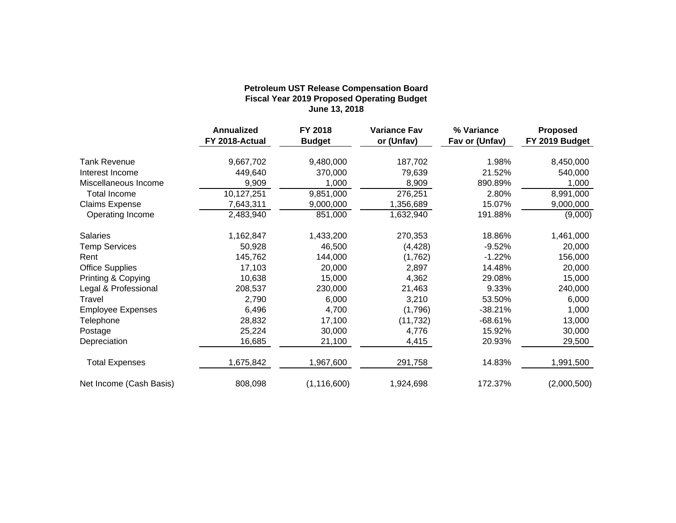#### **Fiscal Year 2019 Proposed Operating Budget June 13, 2018 Petroleum UST Release Compensation Board**

|                          | <b>Annualized</b> | FY 2018       | <b>Variance Fav</b> | % Variance     | <b>Proposed</b> |
|--------------------------|-------------------|---------------|---------------------|----------------|-----------------|
|                          | FY 2018-Actual    | <b>Budget</b> | or (Unfav)          | Fav or (Unfav) | FY 2019 Budget  |
| <b>Tank Revenue</b>      | 9,667,702         | 9,480,000     | 187,702             | 1.98%          | 8,450,000       |
| Interest Income          | 449,640           | 370,000       | 79,639              | 21.52%         | 540,000         |
| Miscellaneous Income     | 9,909             | 1,000         | 8,909               | 890.89%        | 1,000           |
| <b>Total Income</b>      | 10,127,251        | 9,851,000     | 276,251             | 2.80%          | 8,991,000       |
| <b>Claims Expense</b>    | 7,643,311         | 9,000,000     | 1,356,689           | 15.07%         | 9,000,000       |
| Operating Income         | 2,483,940         | 851,000       | 1,632,940           | 191.88%        | (9,000)         |
| Salaries                 | 1,162,847         | 1,433,200     | 270,353             | 18.86%         | 1,461,000       |
| <b>Temp Services</b>     | 50,928            | 46,500        | (4, 428)            | $-9.52%$       | 20,000          |
| Rent                     | 145,762           | 144,000       | (1,762)             | $-1.22%$       | 156,000         |
| <b>Office Supplies</b>   | 17,103            | 20,000        | 2,897               | 14.48%         | 20,000          |
| Printing & Copying       | 10,638            | 15,000        | 4,362               | 29.08%         | 15,000          |
| Legal & Professional     | 208,537           | 230,000       | 21,463              | 9.33%          | 240,000         |
| Travel                   | 2,790             | 6,000         | 3,210               | 53.50%         | 6,000           |
| <b>Employee Expenses</b> | 6,496             | 4,700         | (1,796)             | $-38.21%$      | 1,000           |
| Telephone                | 28,832            | 17,100        | (11, 732)           | $-68.61%$      | 13,000          |
| Postage                  | 25,224            | 30,000        | 4,776               | 15.92%         | 30,000          |
| Depreciation             | 16,685            | 21,100        | 4,415               | 20.93%         | 29,500          |
| <b>Total Expenses</b>    | 1,675,842         | 1,967,600     | 291,758             | 14.83%         | 1,991,500       |
| Net Income (Cash Basis)  | 808,098           | (1, 116, 600) | 1,924,698           | 172.37%        | (2,000,500)     |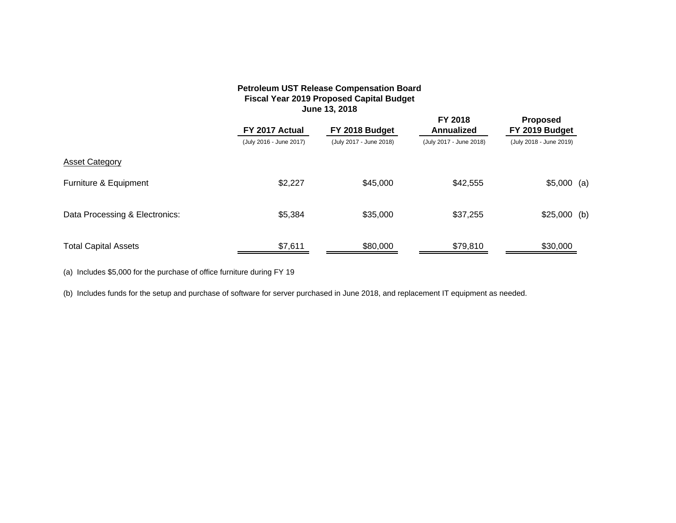#### **Petroleum UST Release Compensation Board Fiscal Year 2019 Proposed Capital Budget June 13, 2018**

|                                | FY 2017 Actual          | FY 2018 Budget          | <b>FY 2018</b><br>Annualized | <b>Proposed</b><br>FY 2019 Budget |  |
|--------------------------------|-------------------------|-------------------------|------------------------------|-----------------------------------|--|
|                                | (July 2016 - June 2017) | (July 2017 - June 2018) | (July 2017 - June 2018)      | (July 2018 - June 2019)           |  |
| <b>Asset Category</b>          |                         |                         |                              |                                   |  |
| Furniture & Equipment          | \$2,227                 | \$45,000                | \$42,555                     | $$5,000$ (a)                      |  |
| Data Processing & Electronics: | \$5,384                 | \$35,000                | \$37,255                     | $$25,000$ (b)                     |  |
| <b>Total Capital Assets</b>    | \$7,611                 | \$80,000                | \$79,810                     | \$30,000                          |  |

(a) Includes \$5,000 for the purchase of office furniture during FY 19

(b) Includes funds for the setup and purchase of software for server purchased in June 2018, and replacement IT equipment as needed.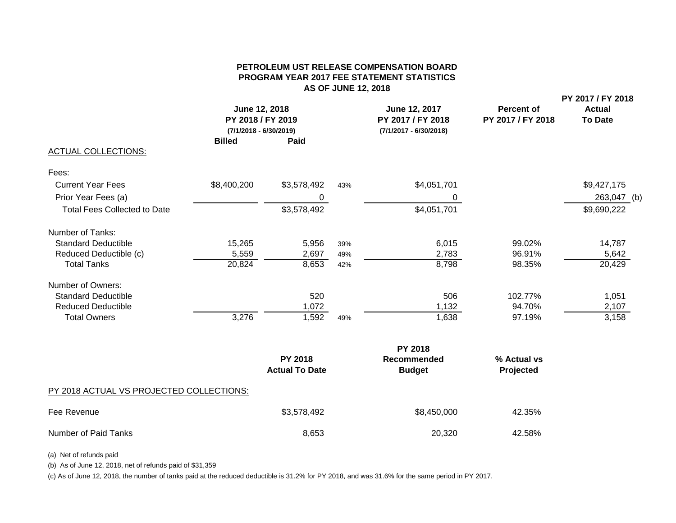#### **PETROLEUM UST RELEASE COMPENSATION BOARDPROGRAM YEAR 2017 FEE STATEMENT STATISTICS AS OF JUNE 12, 2018**

**PY 2017 / FY 2018**

|                                     | June 12, 2018<br>PY 2018 / FY 2019<br>$(7/1/2018 - 6/30/2019)$ |             |     | June 12, 2017<br>PY 2017 / FY 2018<br>(7/1/2017 - 6/30/2018) | <b>Percent of</b><br>PY 2017 / FY 2018 | <b>Actual</b><br><b>To Date</b> |  |
|-------------------------------------|----------------------------------------------------------------|-------------|-----|--------------------------------------------------------------|----------------------------------------|---------------------------------|--|
|                                     | <b>Billed</b>                                                  | Paid        |     |                                                              |                                        |                                 |  |
| <b>ACTUAL COLLECTIONS:</b>          |                                                                |             |     |                                                              |                                        |                                 |  |
| Fees:                               |                                                                |             |     |                                                              |                                        |                                 |  |
| <b>Current Year Fees</b>            | \$8,400,200                                                    | \$3,578,492 | 43% | \$4,051,701                                                  |                                        | \$9,427,175                     |  |
| Prior Year Fees (a)                 |                                                                | 0           |     | 0                                                            |                                        | 263,047 (b)                     |  |
| <b>Total Fees Collected to Date</b> |                                                                | \$3,578,492 |     | \$4,051,701                                                  |                                        | \$9,690,222                     |  |
| Number of Tanks:                    |                                                                |             |     |                                                              |                                        |                                 |  |
| <b>Standard Deductible</b>          | 15,265                                                         | 5,956       | 39% | 6,015                                                        | 99.02%                                 | 14,787                          |  |
| Reduced Deductible (c)              | 5,559                                                          | 2,697       | 49% | 2,783                                                        | 96.91%                                 | 5,642                           |  |
| <b>Total Tanks</b>                  | 20,824                                                         | 8,653       | 42% | 8,798                                                        | 98.35%                                 | 20,429                          |  |
| Number of Owners:                   |                                                                |             |     |                                                              |                                        |                                 |  |
| <b>Standard Deductible</b>          |                                                                | 520         |     | 506                                                          | 102.77%                                | 1,051                           |  |
| <b>Reduced Deductible</b>           |                                                                | 1,072       |     | 1,132                                                        | 94.70%                                 | 2,107                           |  |
| <b>Total Owners</b>                 | 3,276                                                          | 1,592       | 49% | 1,638                                                        | 97.19%                                 | 3,158                           |  |
|                                     |                                                                |             |     | <b>PY 2018</b>                                               |                                        |                                 |  |

|                                          | <b>PY 2018</b><br><b>Actual To Date</b> | Recommended<br><b>Budget</b> | % Actual vs<br>Projected |
|------------------------------------------|-----------------------------------------|------------------------------|--------------------------|
| PY 2018 ACTUAL VS PROJECTED COLLECTIONS: |                                         |                              |                          |
| Fee Revenue                              | \$3,578,492                             | \$8,450,000                  | 42.35%                   |
| Number of Paid Tanks                     | 8,653                                   | 20,320                       | 42.58%                   |

(a) Net of refunds paid

(b) As of June 12, 2018, net of refunds paid of \$31,359

(c) As of June 12, 2018, the number of tanks paid at the reduced deductible is 31.2% for PY 2018, and was 31.6% for the same period in PY 2017.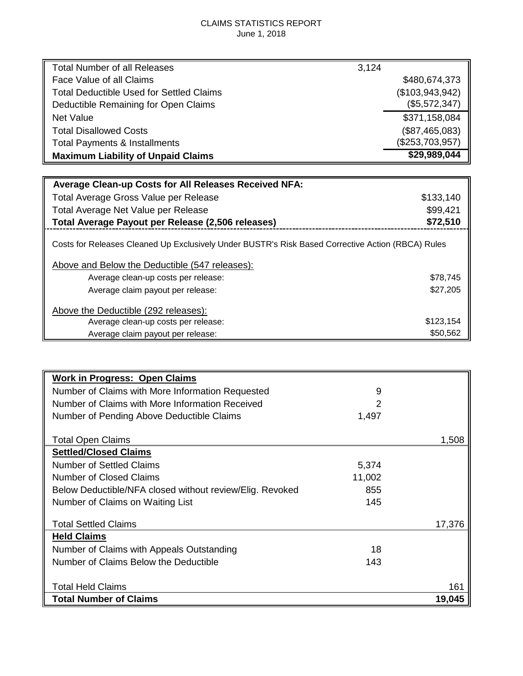#### CLAIMS STATISTICS REPORT June 1, 2018

| <b>Total Number of all Releases</b>             | 3,124           |
|-------------------------------------------------|-----------------|
| Face Value of all Claims                        | \$480,674,373   |
| <b>Total Deductible Used for Settled Claims</b> | (\$103,943,942) |
| Deductible Remaining for Open Claims            | (\$5,572,347)   |
| <b>Net Value</b>                                | \$371,158,084   |
| <b>Total Disallowed Costs</b>                   | (\$87,465,083)  |
| <b>Total Payments &amp; Installments</b>        | (\$253,703,957) |
| <b>Maximum Liability of Unpaid Claims</b>       | \$29,989,044    |
|                                                 |                 |

| <b>Average Clean-up Costs for All Releases Received NFA:</b>                                                                                        |           |
|-----------------------------------------------------------------------------------------------------------------------------------------------------|-----------|
| Total Average Gross Value per Release                                                                                                               | \$133,140 |
| Total Average Net Value per Release                                                                                                                 | \$99,421  |
| Total Average Payout per Release (2,506 releases)                                                                                                   | \$72,510  |
| Costs for Releases Cleaned Up Exclusively Under BUSTR's Risk Based Corrective Action (RBCA) Rules<br>Above and Below the Deductible (547 releases): |           |
|                                                                                                                                                     | \$78,745  |
| Average clean-up costs per release:                                                                                                                 |           |
| Average claim payout per release:                                                                                                                   | \$27,205  |
| Above the Deductible (292 releases):                                                                                                                |           |
| Average clean-up costs per release:                                                                                                                 | \$123,154 |
| Average claim payout per release:                                                                                                                   | \$50,562  |

| <b>Work in Progress: Open Claims</b>                     |        |        |
|----------------------------------------------------------|--------|--------|
| Number of Claims with More Information Requested         | 9      |        |
| Number of Claims with More Information Received          | 2      |        |
| Number of Pending Above Deductible Claims                | 1,497  |        |
|                                                          |        |        |
| <b>Total Open Claims</b>                                 |        | 1.508  |
| <b>Settled/Closed Claims</b>                             |        |        |
| <b>Number of Settled Claims</b>                          | 5,374  |        |
| Number of Closed Claims                                  | 11,002 |        |
| Below Deductible/NFA closed without review/Elig. Revoked | 855    |        |
| Number of Claims on Waiting List                         | 145    |        |
| <b>Total Settled Claims</b>                              |        | 17.376 |
| <b>Held Claims</b>                                       |        |        |
| Number of Claims with Appeals Outstanding                | 18     |        |
| Number of Claims Below the Deductible                    | 143    |        |
|                                                          |        |        |
| <b>Total Held Claims</b>                                 |        | 161    |
| <b>Total Number of Claims</b>                            |        | 19,045 |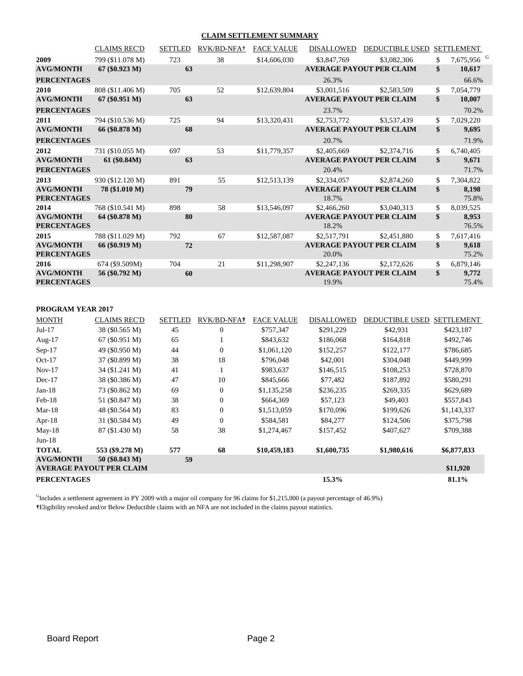#### **CLAIM SETTLEMENT SUMMARY**

|                    | <b>CLAIMS REC'D</b> | <b>SETTLED</b> | RVK/BD-NFA+ | <b>FACE VALUE</b> | <b>DISALLOWED</b> | <b>DEDUCTIBLE USED</b>          | <b>SETTLEMENT</b>            |
|--------------------|---------------------|----------------|-------------|-------------------|-------------------|---------------------------------|------------------------------|
| 2009               | 799 (\$11.078 M)    | 723            | 38          | \$14,606,030      | \$3,847,769       | \$3,082,306                     | \$<br>7,675,956 <sup>G</sup> |
| <b>AVG/MONTH</b>   | $67 (\$0.923 M)$    | 63             |             |                   |                   | <b>AVERAGE PAYOUT PER CLAIM</b> | \$<br>10,617                 |
| <b>PERCENTAGES</b> |                     |                |             |                   | 26.3%             |                                 | 66.6%                        |
| 2010               | 808 (\$11.406 M)    | 705            | 52          | \$12,639,804      | \$3,001,516       | \$2,583,509                     | \$<br>7,054,779              |
| <b>AVG/MONTH</b>   | $67 (\$0.951 M)$    | 63             |             |                   |                   | <b>AVERAGE PAYOUT PER CLAIM</b> | \$<br>10,007                 |
| <b>PERCENTAGES</b> |                     |                |             |                   | 23.7%             |                                 | 70.2%                        |
| 2011               | 794 (\$10.536 M)    | 725            | 94          | \$13,320,431      | \$2,753,772       | \$3,537,439                     | \$<br>7,029,220              |
| <b>AVG/MONTH</b>   | 66 (\$0.878 M)      | 68             |             |                   |                   | <b>AVERAGE PAYOUT PER CLAIM</b> | \$<br>9,695                  |
| <b>PERCENTAGES</b> |                     |                |             |                   | 20.7%             |                                 | 71.9%                        |
| 2012               | 731 (\$10.055 M)    | 697            | 53          | \$11,779,357      | \$2,405,669       | \$2,374,716                     | \$<br>6,740,405              |
| <b>AVG/MONTH</b>   | 61 (\$0.84M)        | 63             |             |                   |                   | <b>AVERAGE PAYOUT PER CLAIM</b> | \$<br>9,671                  |
| <b>PERCENTAGES</b> |                     |                |             |                   | 20.4%             |                                 | 71.7%                        |
| 2013               | 930 (\$12.120 M)    | 891            | 55          | \$12,513,139      | \$2,334,057       | \$2,874,260                     | \$<br>7,304,822              |
| <b>AVG/MONTH</b>   | 78 (\$1.010 M)      | 79             |             |                   |                   | <b>AVERAGE PAYOUT PER CLAIM</b> | \$<br>8,198                  |
| <b>PERCENTAGES</b> |                     |                |             |                   | 18.7%             |                                 | 75.8%                        |
| 2014               | 768 (\$10.541 M)    | 898            | 58          | \$13,546,097      | \$2,466,260       | \$3,040,313                     | \$<br>8,039,525              |
| <b>AVG/MONTH</b>   | 64 (\$0.878 M)      | 80             |             |                   |                   | <b>AVERAGE PAYOUT PER CLAIM</b> | \$<br>8,953                  |
| <b>PERCENTAGES</b> |                     |                |             |                   | 18.2%             |                                 | 76.5%                        |
| 2015               | 788 (\$11.029 M)    | 792            | 67          | \$12,587,087      | \$2,517,791       | \$2,451,880                     | \$<br>7,617,416              |
| <b>AVG/MONTH</b>   | 66 (\$0.919 M)      | 72             |             |                   |                   | <b>AVERAGE PAYOUT PER CLAIM</b> | \$<br>9,618                  |
| <b>PERCENTAGES</b> |                     |                |             |                   | 20.0%             |                                 | 75.2%                        |
| 2016               | 674 (\$9.509M)      | 704            | 21          | \$11,298,907      | \$2,247,136       | \$2,172,626                     | \$<br>6,879,146              |
| <b>AVG/MONTH</b>   | 56 (\$0.792 M)      | 60             |             |                   |                   | <b>AVERAGE PAYOUT PER CLAIM</b> | \$<br>9,772                  |
| <b>PERCENTAGES</b> |                     |                |             |                   | 19.9%             |                                 | 75.4%                        |

| <b>PROGRAM YEAR 2017</b> |                                    |    |
|--------------------------|------------------------------------|----|
| <b>MONTH</b>             | <b>CLAIMS REC'D</b>                | S. |
| $T - 1$ 17               | $20.700$ $F/T$ $\rightarrow$ $F$ ) |    |

| <b>MONTH</b>       | <b>CLAIMS REC'D</b>                               | <b>SETTLED</b> | RVK/BD-NFA+    | <b>FACE VALUE</b> | <b>DISALLOWED</b>      | <b>DEDUCTIBLE USED</b> | <b>SETTLEMENT</b> |
|--------------------|---------------------------------------------------|----------------|----------------|-------------------|------------------------|------------------------|-------------------|
| $Jul-17$           | 38 (\$0.565 M)                                    | 45             | $\overline{0}$ | \$757,347         | \$291,229              | \$42,931               | \$423,187         |
| Aug- $17$          | 67 (\$0.951 M)                                    | 65             |                | \$843,632         | \$186,068              | \$164,818              | \$492,746         |
| $Sep-17$           | 49 (\$0.950 M)                                    | 44             | $\overline{0}$ | \$1,061,120       | \$152,257              | \$122,177              | \$786,685         |
| $Oct-17$           | 37 (\$0.899 M)                                    | 38             | 18             | \$796,048         | \$42,001               | \$304,048              | \$449.999         |
| $Nov-17$           | 34 (\$1.241 M)                                    | 41             |                | \$983,637         | \$146,515              | \$108,253              | \$728,870         |
| $Dec-17$           | 38 (\$0.386 M)                                    | 47             | 10             | \$845,666         | \$77,482               | \$187,892              | \$580,291         |
| $Jan-18$           | 73 (\$0.862 M)                                    | 69             | $\overline{0}$ | \$1,135,258       | \$236,235<br>\$269,335 |                        | \$629,689         |
| $Feb-18$           | 51 (\$0.847 M)                                    | 38             | $\overline{0}$ | \$664,369         | \$57,123               | \$49,403               | \$557,843         |
| $Mar-18$           | 48 (\$0.564 M)                                    | 83             | $\overline{0}$ | \$1,513,059       | \$170,096              | \$199,626              | \$1,143,337       |
| Apr- $18$          | 31 (\$0.584 M)                                    | 49             | $\Omega$       | \$584.581         | \$84,277               | \$124,506              | \$375,798         |
| $May-18$           | 87 (\$1.430 M)                                    | 58             | 38             | \$1,274,467       | \$157,452              | \$407,627              | \$709,388         |
| $Jun-18$           |                                                   |                |                |                   |                        |                        |                   |
| <b>TOTAL</b>       | 553 (\$9.278 M)                                   | 577            | 68             | \$10,459,183      | \$1,600,735            | \$1,980,616            | \$6,877,833       |
| <b>AVG/MONTH</b>   | 50 (\$0.843 M)<br><b>AVERAGE PAYOUT PER CLAIM</b> | 59             |                |                   |                        |                        | \$11,920          |
| <b>PERCENTAGES</b> |                                                   |                |                |                   | 81.1%                  |                        |                   |

<sup>G</sup>Includes a settlement agreement in PY 2009 with a major oil company for 96 claims for \$1,215,000 (a payout percentage of 46.9%) **†**Eligibility revoked and/or Below Deductible claims with an NFA are not included in the claims payout statistics.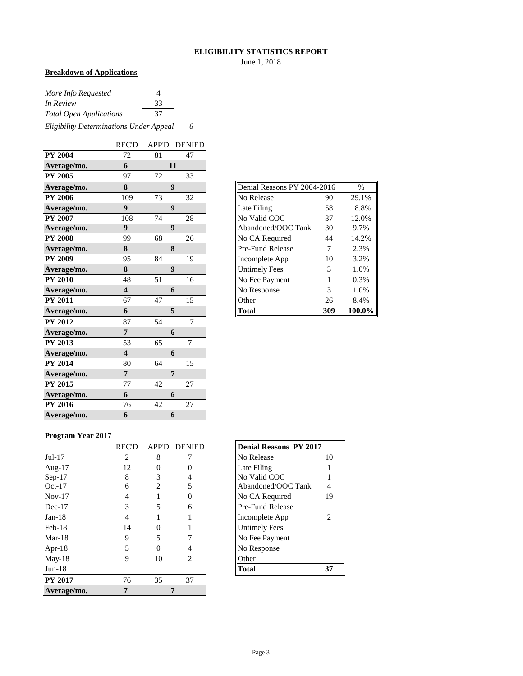#### **ELIGIBILITY STATISTICS REPORT**

June 1, 2018

#### **Breakdown of Applications**

| More Info Requested                     |    |   |
|-----------------------------------------|----|---|
| In Review                               | 33 |   |
| <b>Total Open Applications</b>          | 37 |   |
| Eligibility Determinations Under Appeal |    | 6 |

|                | <b>REC'D</b>            | APP'D | <b>DENIED</b>    |
|----------------|-------------------------|-------|------------------|
| <b>PY 2004</b> | 72                      | 81    | 47               |
| Average/mo.    | 6                       |       | 11               |
| <b>PY 2005</b> | 97                      | 72    | 33               |
| Average/mo.    | 8                       |       | 9                |
| <b>PY 2006</b> | 109                     | 73    | 32               |
| Average/mo.    | $\boldsymbol{9}$        |       | $\boldsymbol{9}$ |
| <b>PY 2007</b> | 108                     | 74    | 28               |
| Average/mo.    | 9                       |       | 9                |
| <b>PY 2008</b> | 99                      | 68    | 26               |
| Average/mo.    | 8                       |       | 8                |
| <b>PY 2009</b> | 95                      | 84    | 19               |
| Average/mo.    | 8                       |       | 9                |
| <b>PY 2010</b> | 48                      | 51    | 16               |
| Average/mo.    | $\overline{\mathbf{4}}$ |       | 6                |
| <b>PY 2011</b> | 67                      | 47    | 15               |
| Average/mo.    | 6                       |       | 5                |
| <b>PY 2012</b> | 87                      | 54    | 17               |
| Average/mo.    | $\overline{7}$          |       | 6                |
| <b>PY 2013</b> | 53                      | 65    | $\overline{7}$   |
| Average/mo.    | $\overline{\mathbf{4}}$ |       | 6                |
| <b>PY 2014</b> | 80                      | 64    | 15               |
| Average/mo.    | $\overline{7}$          |       | 7                |
| <b>PY 2015</b> | 77                      | 42    | 27               |
| Average/mo.    | 6                       |       | 6                |
| <b>PY 2016</b> | 76                      | 42    | 27               |
| Average/mo.    | 6                       |       | 6                |

| Denial Reasons PY 2004-2016<br>$\frac{0}{0}$ |     |        |  |  |  |  |  |  |  |
|----------------------------------------------|-----|--------|--|--|--|--|--|--|--|
| No Release                                   | 90  | 29.1%  |  |  |  |  |  |  |  |
| Late Filing                                  | 58  | 18.8%  |  |  |  |  |  |  |  |
| No Valid COC                                 | 37  | 12.0%  |  |  |  |  |  |  |  |
| Abandoned/OOC Tank                           | 30  | 9.7%   |  |  |  |  |  |  |  |
| No CA Required                               | 44  | 14.2%  |  |  |  |  |  |  |  |
| Pre-Fund Release                             | 7   | 2.3%   |  |  |  |  |  |  |  |
| Incomplete App                               | 10  | 3.2%   |  |  |  |  |  |  |  |
| <b>Untimely Fees</b>                         | 3   | 1.0%   |  |  |  |  |  |  |  |
| No Fee Payment                               | 1   | 0.3%   |  |  |  |  |  |  |  |
| No Response                                  | 3   | 1.0%   |  |  |  |  |  |  |  |
| Other                                        | 26  | 8.4%   |  |  |  |  |  |  |  |
| Total                                        | 309 | 100.0% |  |  |  |  |  |  |  |

#### **Program Year 2017**

|                | <b>REC'D</b> | <b>APP'D</b> | <b>DENIED</b> | <b>Denial Reasons PY 2017</b> |                |
|----------------|--------------|--------------|---------------|-------------------------------|----------------|
| $Jul-17$       | 2            | 8            |               | No Release                    | 10             |
| Aug- $17$      | 12           |              |               | Late Filing                   |                |
| $Sep-17$       | 8            | 3            | 4             | No Valid COC                  |                |
| $Oct-17$       | 6            | 2            | 5             | Abandoned/OOC Tank            | $\overline{4}$ |
| $Nov-17$       | 4            |              | $\Omega$      | No CA Required                | 19             |
| $Dec-17$       | 3            | 5            | 6             | <b>Pre-Fund Release</b>       |                |
| $Jan-18$       | 4            |              |               | Incomplete App                | 2              |
| $Feb-18$       | 14           | 0            |               | <b>Untimely Fees</b>          |                |
| $Mar-18$       | 9            | 5            |               | No Fee Payment                |                |
| Apr-18         | 5            | $\Omega$     | 4             | No Response                   |                |
| $May-18$       | 9            | 10           | 2             | Other                         |                |
| $Jun-18$       |              |              |               | <b>Total</b>                  | 37             |
| <b>PY 2017</b> | 76           | 35           | 37            |                               |                |
| Average/mo.    |              |              |               |                               |                |

| <b>Denial Reasons PY 2017</b> |    |
|-------------------------------|----|
| No Release                    | 10 |
| Late Filing                   |    |
| No Valid COC                  |    |
| Abandoned/OOC Tank            |    |
| No CA Required                | 19 |
| Pre-Fund Release              |    |
| Incomplete App                | 2  |
| <b>Untimely Fees</b>          |    |
| No Fee Payment                |    |
| No Response                   |    |
| Other                         |    |
| latal                         |    |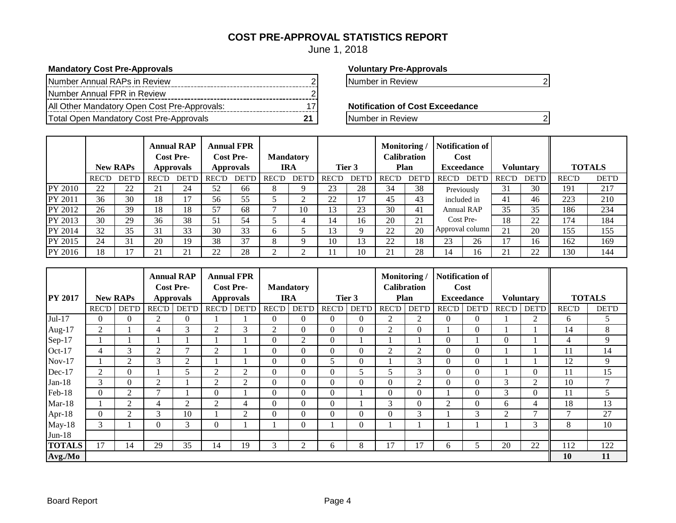### **COST PRE-APPROVAL STATISTICS REPORT**

June 1, 2018

#### **Mandatory Cost Pre-Approvals Voluntary Pre-Approvals**

| Number Annual RAPs in Review                 |  |
|----------------------------------------------|--|
| Number Annual FPR in Review                  |  |
| All Other Mandatory Open Cost Pre-Approvals: |  |
| Total Open Mandatory Cost Pre-Approvals      |  |

Number in Review 2 2

**Notification of Cost Exceedance** 

**The Pre-Approvalship Cost Pre-Approvals** 21 Number in Review 22

|         |              | <b>New RAPs</b> |              | <b>Annual RAP</b><br><b>Cost Pre-</b><br><b>Approvals</b> |              | <b>Annual FPR</b><br><b>Cost Pre-</b><br><b>Approvals</b> |              | <b>Mandatory</b><br><b>IRA</b> |              | Tier 3          | Monitoring   | Calibration<br>Plan | Notification of<br>Cost<br><b>Exceedance</b> |            |       |         |              |              |  |  |  |  |  |  |  |  |  |  |  |  |  |  |  |  |  |  |  | <b>Voluntary</b> |  | <b>TOTALS</b> |
|---------|--------------|-----------------|--------------|-----------------------------------------------------------|--------------|-----------------------------------------------------------|--------------|--------------------------------|--------------|-----------------|--------------|---------------------|----------------------------------------------|------------|-------|---------|--------------|--------------|--|--|--|--|--|--|--|--|--|--|--|--|--|--|--|--|--|--|--|------------------|--|---------------|
|         | <b>REC'D</b> | <b>DET'D</b>    | <b>REC'D</b> | <b>DET'D</b>                                              | <b>REC'D</b> | <b>DET'D</b>                                              | <b>REC'D</b> | <b>DET'D</b>                   | <b>REC'D</b> | DET'D           | <b>REC'D</b> | <b>DET'D</b>        | <b>REC'D</b>                                 | DET'D      | REC'D | DET'D I | <b>REC'D</b> | <b>DET'D</b> |  |  |  |  |  |  |  |  |  |  |  |  |  |  |  |  |  |  |  |                  |  |               |
| PY 2010 | 22           | 22              | 21           | 24                                                        | 52           | 66                                                        | 8            |                                | 23           | 28              | 34           | 38                  |                                              | Previously | 31    | 30      | 191          | 217          |  |  |  |  |  |  |  |  |  |  |  |  |  |  |  |  |  |  |  |                  |  |               |
| PY 2011 | 36           | 30              | 18           | 17                                                        | 56           | 55                                                        |              | ◠                              | 22           | $\mathbf{\tau}$ | 45           | 43                  | included in                                  |            | 41    | 46      | 223          | 210          |  |  |  |  |  |  |  |  |  |  |  |  |  |  |  |  |  |  |  |                  |  |               |
| PY 2012 | 26           | 39              | 18           | 18                                                        | 57           | 68                                                        |              | 10                             | l 3          | 23              | 30           | 41                  |                                              | Annual RAP | 35    | 35      | 186          | 234          |  |  |  |  |  |  |  |  |  |  |  |  |  |  |  |  |  |  |  |                  |  |               |
| PY 2013 | 30           | 29              | 36           | 38                                                        | 51           | 54                                                        |              |                                | 14           | 16              | 20           | 21                  |                                              | Cost Pre-  | 18    | 22      | 174          | 184          |  |  |  |  |  |  |  |  |  |  |  |  |  |  |  |  |  |  |  |                  |  |               |
| PY 2014 | 32           | 35              | 31           | 33                                                        | 30           | 33                                                        | <sub>b</sub> |                                | 13           |                 | 22           | 20                  | Approval column                              |            | 21    | 20      | 155          | 155          |  |  |  |  |  |  |  |  |  |  |  |  |  |  |  |  |  |  |  |                  |  |               |
| PY 2015 | 24           | 31              | 20           | 19                                                        | 38           | 37                                                        | 8            |                                | 10           | 13              | 22           | 18                  | 23                                           | 26         | 17    | 16      | 162          | 169          |  |  |  |  |  |  |  |  |  |  |  |  |  |  |  |  |  |  |  |                  |  |               |
| PY 2016 | 18           |                 | 21           | 21                                                        | 22           | 28                                                        |              | ◠                              |              | 10              | 21           | 28                  | 14                                           | 16         | 21    | 22      | 130          | 144          |  |  |  |  |  |  |  |  |  |  |  |  |  |  |  |  |  |  |  |                  |  |               |

|                |              |                 | <b>Annual FPR</b><br><b>Annual RAP</b><br><b>Cost Pre-</b><br><b>Cost Pre-</b> |                  |                |                  | <b>Mandatory</b> |                | Monitoring/<br><b>Calibration</b> |              |                | <b>Notification of</b><br>Cost |                |                   |               |                  |                 |               |
|----------------|--------------|-----------------|--------------------------------------------------------------------------------|------------------|----------------|------------------|------------------|----------------|-----------------------------------|--------------|----------------|--------------------------------|----------------|-------------------|---------------|------------------|-----------------|---------------|
| <b>PY 2017</b> |              | <b>New RAPs</b> |                                                                                | <b>Approvals</b> |                | <b>Approvals</b> |                  | <b>IRA</b>     |                                   | Tier 3       |                | Plan                           |                | <b>Exceedance</b> |               | <b>Voluntary</b> |                 | <b>TOTALS</b> |
|                | <b>REC'D</b> | <b>DET'D</b>    | <b>REC'D</b>                                                                   | <b>DET'D</b>     | <b>REC'D</b>   | <b>DET'D</b>     | <b>REC'D</b>     | <b>DET'D</b>   | <b>REC'D</b>                      | <b>DET'D</b> | REC'D          | <b>DET'D</b>                   | <b>REC'D</b>   | <b>DET'D</b>      | <b>REC'D</b>  | <b>DET'D</b>     | <b>REC'D</b>    | <b>DET'D</b>  |
| Jul-17         | 0            | $\Omega$        | 2                                                                              | $\overline{0}$   |                |                  | $\Omega$         | 0              | $\Omega$                          | $\Omega$     | 2              | 2                              | $\Omega$       | $\Omega$          |               | 2                | 6               | 5             |
| Aug- $17$      | 2            |                 | 4                                                                              | 3                | 2              | 3                | 2                | 0              | $\Omega$                          | $\theta$     | 2              | 0                              |                | $\theta$          |               |                  | 14              | 8             |
| Sep-17         |              |                 |                                                                                |                  |                |                  | $\Omega$         | 2              | $\Omega$                          |              |                |                                | $\Omega$       |                   | $\Omega$      |                  | 4               | 9             |
| $Oct-17$       | 4            | 3               | $\overline{2}$                                                                 | $\mathcal{I}$    | $\overline{2}$ |                  | $\Omega$         | 0              | $\Omega$                          | $\theta$     | 2              | 2                              | $\Omega$       | 0                 |               |                  | 11              | 14            |
| $Nov-17$       |              | 2               | 3                                                                              | 2                |                |                  | $\Omega$         | $\Omega$       | 5.                                | $\theta$     |                | 3                              | $\Omega$       | $\Omega$          |               |                  | 12              | 9             |
| Dec-17         | 2            | $\overline{0}$  |                                                                                | 5                | 2              | $\overline{2}$   | $\Omega$         | $\Omega$       | $\Omega$                          | 5            | 5              | 3                              | $\overline{0}$ | $\theta$          |               | $\Omega$         | 11              | 15            |
| $Jan-18$       | 3            | $\Omega$        | $\overline{2}$                                                                 |                  | 2              | 2                | $\Omega$         | $\Omega$       | $\Omega$                          | $\theta$     | $\theta$       | 2                              | $\Omega$       | $\theta$          | $\mathcal{F}$ | $\overline{2}$   | 10              | $\tau$        |
| Feb-18         | $\Omega$     | 2               | $\mathbf{r}$                                                                   |                  | $\Omega$       |                  | $\Omega$         | $\Omega$       | $\Omega$                          |              | $\overline{0}$ | 0                              |                | $\theta$          | 3             | $\Omega$         | 11              | 5             |
| $Mar-18$       |              | 2               | 4                                                                              | $\overline{2}$   | 2              | 4                | $\Omega$         | $\Omega$       | $\Omega$                          |              | 3              |                                | $\overline{2}$ | $\theta$          | 6             | 4                | 18              | 13            |
| Apr- $18$      | $\Omega$     | $\overline{2}$  | 3                                                                              | 10               |                | $\overline{2}$   | $\Omega$         | $\Omega$       | $\Omega$                          | $\theta$     | $\Omega$       | 3                              |                | 3                 | 2             | −                | $\mathbf{\tau}$ | 27            |
| $May-18$       | 3            |                 | $\Omega$                                                                       | $\mathcal{F}$    | 0              |                  |                  | 0              |                                   | $\Omega$     |                |                                |                |                   |               | 3                | 8               | 10            |
| $Jun-18$       |              |                 |                                                                                |                  |                |                  |                  |                |                                   |              |                |                                |                |                   |               |                  |                 |               |
| <b>TOTALS</b>  | 17           | 14              | 29                                                                             | 35               | 14             | 19               | $\sim$<br>Ć      | $\overline{c}$ | 6                                 | 8            | 17             | 17                             | 6              |                   | 20            | 22               | 112             | 122           |
| Avg./Mo        |              |                 |                                                                                |                  |                |                  |                  |                |                                   |              |                |                                |                |                   |               |                  | 10              | 11            |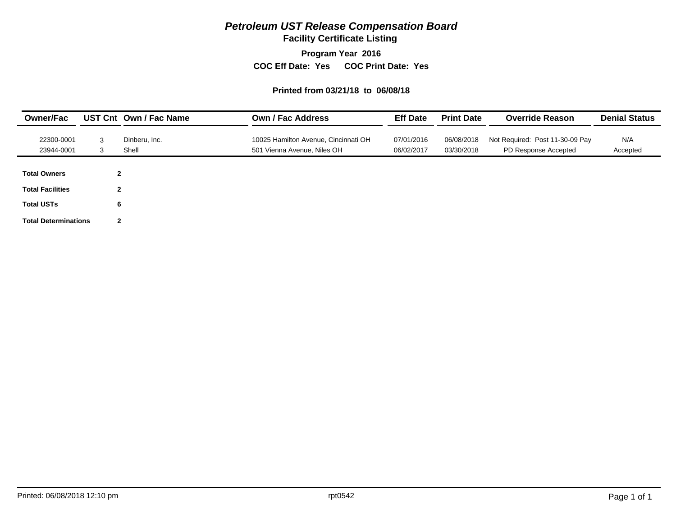**Facility Certificate Listing**

**Program Year 2016**

**COC Eff Date: Yes COC Print Date: Yes** 

#### **Printed from 03/21/18 to 06/08/18**

| <b>Owner/Fac</b>            |        | UST Cnt Own / Fac Name | <b>Own / Fac Address</b>                                            | <b>Eff Date</b>          | <b>Print Date</b>        | <b>Override Reason</b>                                  | <b>Denial Status</b> |
|-----------------------------|--------|------------------------|---------------------------------------------------------------------|--------------------------|--------------------------|---------------------------------------------------------|----------------------|
| 22300-0001<br>23944-0001    | 3<br>3 | Dinberu, Inc.<br>Shell | 10025 Hamilton Avenue, Cincinnati OH<br>501 Vienna Avenue, Niles OH | 07/01/2016<br>06/02/2017 | 06/08/2018<br>03/30/2018 | Not Required: Post 11-30-09 Pay<br>PD Response Accepted | N/A<br>Accepted      |
| <b>Total Owners</b>         |        | $\mathbf{2}$           |                                                                     |                          |                          |                                                         |                      |
| <b>Total Facilities</b>     |        | $\mathbf{2}$           |                                                                     |                          |                          |                                                         |                      |
| <b>Total USTs</b>           |        | 6                      |                                                                     |                          |                          |                                                         |                      |
| <b>Total Determinations</b> |        | $\mathbf{2}$           |                                                                     |                          |                          |                                                         |                      |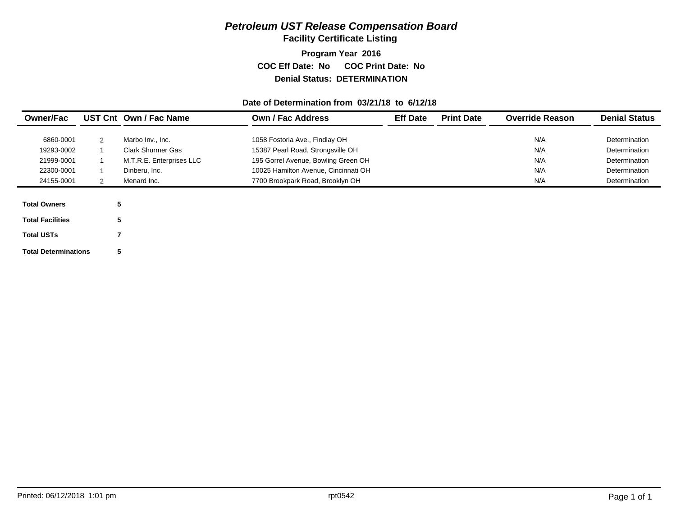**Facility Certificate Listing**

**Program Year 2016 COC Eff Date: No COC Print Date: No Denial Status: DETERMINATION**

#### **Date of Determination from 03/21/18 to 6/12/18**

| <b>Owner/Fac</b>        |   | UST Cnt Own / Fac Name                | <b>Own / Fac Address</b>                                            | <b>Eff Date</b> | <b>Print Date</b> | <b>Override Reason</b> | <b>Denial Status</b> |
|-------------------------|---|---------------------------------------|---------------------------------------------------------------------|-----------------|-------------------|------------------------|----------------------|
| 6860-0001               |   |                                       |                                                                     |                 |                   | N/A                    | Determination        |
| 19293-0002              |   | Marbo Inv., Inc.<br>Clark Shurmer Gas | 1058 Fostoria Ave., Findlay OH<br>15387 Pearl Road, Strongsville OH |                 |                   | N/A                    | Determination        |
| 21999-0001              |   | M.T.R.E. Enterprises LLC              | 195 Gorrel Avenue, Bowling Green OH                                 |                 |                   | N/A                    | Determination        |
| 22300-0001              |   | Dinberu. Inc.                         | 10025 Hamilton Avenue, Cincinnati OH                                |                 |                   | N/A                    | Determination        |
| 24155-0001              |   | Menard Inc.                           | 7700 Brookpark Road, Brooklyn OH                                    |                 |                   | N/A                    | Determination        |
|                         |   |                                       |                                                                     |                 |                   |                        |                      |
| <b>Total Owners</b>     | 5 |                                       |                                                                     |                 |                   |                        |                      |
| <b>Total Facilities</b> | 5 |                                       |                                                                     |                 |                   |                        |                      |

**Total Determinations 5**

**7**

**Total USTs**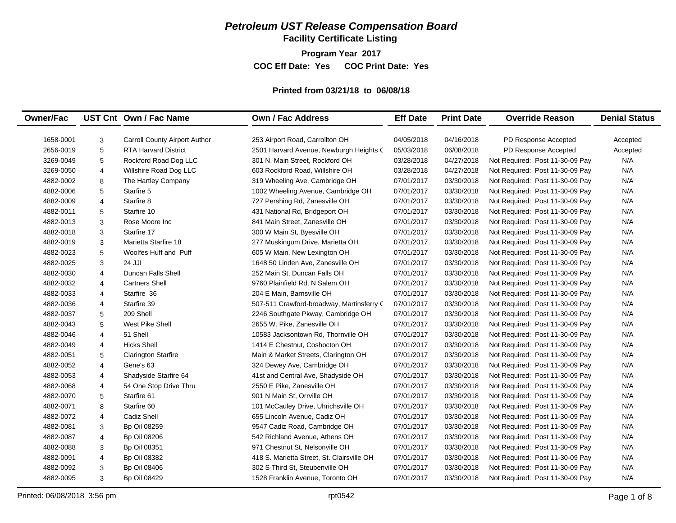**Facility Certificate Listing**

**Program Year 2017**

**COC Eff Date: Yes COC Print Date: Yes** 

#### **Printed from 03/21/18 to 06/08/18**

| <b>Owner/Fac</b> |   | UST Cnt Own / Fac Name               | <b>Own / Fac Address</b>                   | <b>Eff Date</b> | <b>Print Date</b> | <b>Override Reason</b>          | <b>Denial Status</b> |
|------------------|---|--------------------------------------|--------------------------------------------|-----------------|-------------------|---------------------------------|----------------------|
|                  |   |                                      |                                            |                 |                   |                                 |                      |
| 1658-0001        | 3 | <b>Carroll County Airport Author</b> | 253 Airport Road, Carrollton OH            | 04/05/2018      | 04/16/2018        | PD Response Accepted            | Accepted             |
| 2656-0019        | 5 | <b>RTA Harvard District</b>          | 2501 Harvard Avenue, Newburgh Heights C    | 05/03/2018      | 06/08/2018        | PD Response Accepted            | Accepted             |
| 3269-0049        | 5 | Rockford Road Dog LLC                | 301 N. Main Street, Rockford OH            | 03/28/2018      | 04/27/2018        | Not Required: Post 11-30-09 Pay | N/A                  |
| 3269-0050        | 4 | Willshire Road Dog LLC               | 603 Rockford Road, Willshire OH            | 03/28/2018      | 04/27/2018        | Not Required: Post 11-30-09 Pay | N/A                  |
| 4882-0002        | 8 | The Hartley Company                  | 319 Wheeling Ave, Cambridge OH             | 07/01/2017      | 03/30/2018        | Not Required: Post 11-30-09 Pay | N/A                  |
| 4882-0006        | 5 | Starfire 5                           | 1002 Wheeling Avenue, Cambridge OH         | 07/01/2017      | 03/30/2018        | Not Required: Post 11-30-09 Pay | N/A                  |
| 4882-0009        | 4 | Starfire 8                           | 727 Pershing Rd, Zanesville OH             | 07/01/2017      | 03/30/2018        | Not Required: Post 11-30-09 Pay | N/A                  |
| 4882-0011        | 5 | Starfire 10                          | 431 National Rd, Bridgeport OH             | 07/01/2017      | 03/30/2018        | Not Required: Post 11-30-09 Pay | N/A                  |
| 4882-0013        | 3 | Rose Moore Inc                       | 841 Main Street, Zanesville OH             | 07/01/2017      | 03/30/2018        | Not Required: Post 11-30-09 Pay | N/A                  |
| 4882-0018        | 3 | Starfire 17                          | 300 W Main St, Byesville OH                | 07/01/2017      | 03/30/2018        | Not Required: Post 11-30-09 Pay | N/A                  |
| 4882-0019        | 3 | Marietta Starfire 18                 | 277 Muskingum Drive, Marietta OH           | 07/01/2017      | 03/30/2018        | Not Required: Post 11-30-09 Pay | N/A                  |
| 4882-0023        | 5 | <b>Woolfes Huff and Puff</b>         | 605 W Main, New Lexington OH               | 07/01/2017      | 03/30/2018        | Not Required: Post 11-30-09 Pay | N/A                  |
| 4882-0025        | 3 | 24 JJI                               | 1648 50 Linden Ave, Zanesville OH          | 07/01/2017      | 03/30/2018        | Not Required: Post 11-30-09 Pay | N/A                  |
| 4882-0030        | 4 | Duncan Falls Shell                   | 252 Main St, Duncan Falls OH               | 07/01/2017      | 03/30/2018        | Not Required: Post 11-30-09 Pay | N/A                  |
| 4882-0032        | 4 | <b>Cartners Shell</b>                | 9760 Plainfield Rd, N Salem OH             | 07/01/2017      | 03/30/2018        | Not Required: Post 11-30-09 Pay | N/A                  |
| 4882-0033        | 4 | Starfire 36                          | 204 E Main, Barnsville OH                  | 07/01/2017      | 03/30/2018        | Not Required: Post 11-30-09 Pay | N/A                  |
| 4882-0036        | 4 | Starfire 39                          | 507-511 Crawford-broadway, Martinsferry C  | 07/01/2017      | 03/30/2018        | Not Required: Post 11-30-09 Pay | N/A                  |
| 4882-0037        | 5 | 209 Shell                            | 2246 Southgate Pkway, Cambridge OH         | 07/01/2017      | 03/30/2018        | Not Required: Post 11-30-09 Pay | N/A                  |
| 4882-0043        | 5 | West Pike Shell                      | 2655 W. Pike, Zanesville OH                | 07/01/2017      | 03/30/2018        | Not Required: Post 11-30-09 Pay | N/A                  |
| 4882-0046        | 4 | 51 Shell                             | 10583 Jacksontown Rd. Thornville OH        | 07/01/2017      | 03/30/2018        | Not Required: Post 11-30-09 Pay | N/A                  |
| 4882-0049        | 4 | <b>Hicks Shell</b>                   | 1414 E Chestnut, Coshocton OH              | 07/01/2017      | 03/30/2018        | Not Required: Post 11-30-09 Pay | N/A                  |
| 4882-0051        | 5 | <b>Clarington Starfire</b>           | Main & Market Streets, Clarington OH       | 07/01/2017      | 03/30/2018        | Not Required: Post 11-30-09 Pay | N/A                  |
| 4882-0052        | 4 | Gene's 63                            | 324 Dewey Ave, Cambridge OH                | 07/01/2017      | 03/30/2018        | Not Required: Post 11-30-09 Pay | N/A                  |
| 4882-0053        | 4 | Shadyside Starfire 64                | 41st and Central Ave, Shadyside OH         | 07/01/2017      | 03/30/2018        | Not Required: Post 11-30-09 Pay | N/A                  |
| 4882-0068        | 4 | 54 One Stop Drive Thru               | 2550 E Pike, Zanesville OH                 | 07/01/2017      | 03/30/2018        | Not Required: Post 11-30-09 Pay | N/A                  |
| 4882-0070        | 5 | Starfire 61                          | 901 N Main St, Orrville OH                 | 07/01/2017      | 03/30/2018        | Not Required: Post 11-30-09 Pay | N/A                  |
| 4882-0071        | 8 | Starfire 60                          | 101 McCauley Drive, Uhrichsville OH        | 07/01/2017      | 03/30/2018        | Not Required: Post 11-30-09 Pay | N/A                  |
| 4882-0072        | 4 | Cadiz Shell                          | 655 Lincoln Avenue, Cadiz OH               | 07/01/2017      | 03/30/2018        | Not Required: Post 11-30-09 Pay | N/A                  |
| 4882-0081        | 3 | <b>Bp Oil 08259</b>                  | 9547 Cadiz Road, Cambridge OH              | 07/01/2017      | 03/30/2018        | Not Required: Post 11-30-09 Pay | N/A                  |
| 4882-0087        | 4 | <b>Bp Oil 08206</b>                  | 542 Richland Avenue, Athens OH             | 07/01/2017      | 03/30/2018        | Not Required: Post 11-30-09 Pay | N/A                  |
| 4882-0088        | 3 | Bp Oil 08351                         | 971 Chestnut St, Nelsonville OH            | 07/01/2017      | 03/30/2018        | Not Required: Post 11-30-09 Pay | N/A                  |
| 4882-0091        | 4 | <b>Bp Oil 08382</b>                  | 418 S. Marietta Street, St. Clairsville OH | 07/01/2017      | 03/30/2018        | Not Required: Post 11-30-09 Pay | N/A                  |
| 4882-0092        | 3 | <b>Bp Oil 08406</b>                  | 302 S Third St, Steubenville OH            | 07/01/2017      | 03/30/2018        | Not Required: Post 11-30-09 Pay | N/A                  |
| 4882-0095        | 3 | <b>Bp Oil 08429</b>                  | 1528 Franklin Avenue, Toronto OH           | 07/01/2017      | 03/30/2018        | Not Required: Post 11-30-09 Pay | N/A                  |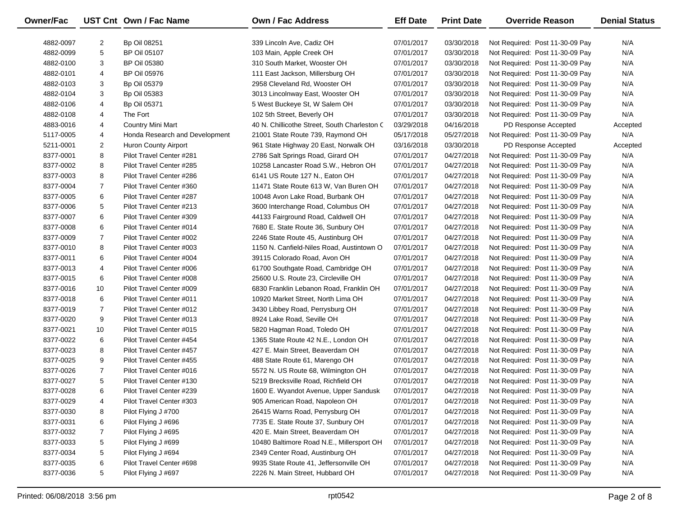| Owner/Fac |                | UST Cnt Own / Fac Name         | Own / Fac Address                            | <b>Eff Date</b> | <b>Print Date</b> | <b>Override Reason</b>          | <b>Denial Status</b> |
|-----------|----------------|--------------------------------|----------------------------------------------|-----------------|-------------------|---------------------------------|----------------------|
| 4882-0097 | 2              | <b>Bp Oil 08251</b>            | 339 Lincoln Ave, Cadiz OH                    | 07/01/2017      | 03/30/2018        | Not Required: Post 11-30-09 Pay | N/A                  |
| 4882-0099 | 5              | <b>BP Oil 05107</b>            | 103 Main, Apple Creek OH                     | 07/01/2017      | 03/30/2018        | Not Required: Post 11-30-09 Pay | N/A                  |
| 4882-0100 | 3              | <b>BP Oil 05380</b>            | 310 South Market, Wooster OH                 | 07/01/2017      | 03/30/2018        | Not Required: Post 11-30-09 Pay | N/A                  |
| 4882-0101 | 4              | <b>BP Oil 05976</b>            | 111 East Jackson, Millersburg OH             | 07/01/2017      | 03/30/2018        | Not Required: Post 11-30-09 Pay | N/A                  |
| 4882-0103 | 3              | <b>Bp Oil 05379</b>            | 2958 Cleveland Rd, Wooster OH                | 07/01/2017      | 03/30/2018        | Not Required: Post 11-30-09 Pay | N/A                  |
| 4882-0104 | 3              | <b>Bp Oil 05383</b>            | 3013 Lincolnway East, Wooster OH             | 07/01/2017      | 03/30/2018        | Not Required: Post 11-30-09 Pay | N/A                  |
| 4882-0106 | 4              | Bp Oil 05371                   | 5 West Buckeye St, W Salem OH                | 07/01/2017      | 03/30/2018        | Not Required: Post 11-30-09 Pay | N/A                  |
| 4882-0108 | 4              | The Fort                       | 102 5th Street, Beverly OH                   | 07/01/2017      | 03/30/2018        | Not Required: Post 11-30-09 Pay | N/A                  |
| 4883-0016 | 4              | <b>Country Mini Mart</b>       | 40 N. Chillicothe Street, South Charleston C | 03/29/2018      | 04/16/2018        | PD Response Accepted            | Accepted             |
| 5117-0005 | 4              | Honda Research and Development | 21001 State Route 739, Raymond OH            | 05/17/2018      | 05/27/2018        | Not Required: Post 11-30-09 Pay | N/A                  |
| 5211-0001 | $\overline{2}$ | Huron County Airport           | 961 State Highway 20 East, Norwalk OH        | 03/16/2018      | 03/30/2018        | PD Response Accepted            | Accepted             |
| 8377-0001 | 8              | Pilot Travel Center #281       | 2786 Salt Springs Road, Girard OH            | 07/01/2017      | 04/27/2018        | Not Required: Post 11-30-09 Pay | N/A                  |
| 8377-0002 | 8              | Pilot Travel Center #285       | 10258 Lancaster Road S.W., Hebron OH         | 07/01/2017      | 04/27/2018        | Not Required: Post 11-30-09 Pay | N/A                  |
| 8377-0003 | 8              | Pilot Travel Center #286       | 6141 US Route 127 N., Eaton OH               | 07/01/2017      | 04/27/2018        | Not Required: Post 11-30-09 Pay | N/A                  |
| 8377-0004 | $\overline{7}$ | Pilot Travel Center #360       | 11471 State Route 613 W, Van Buren OH        | 07/01/2017      | 04/27/2018        | Not Required: Post 11-30-09 Pay | N/A                  |
| 8377-0005 | 6              | Pilot Travel Center #287       | 10048 Avon Lake Road, Burbank OH             | 07/01/2017      | 04/27/2018        | Not Required: Post 11-30-09 Pay | N/A                  |
| 8377-0006 | 5              | Pilot Travel Center #213       | 3600 Interchange Road, Columbus OH           | 07/01/2017      | 04/27/2018        | Not Required: Post 11-30-09 Pay | N/A                  |
| 8377-0007 | 6              | Pilot Travel Center #309       | 44133 Fairground Road, Caldwell OH           | 07/01/2017      | 04/27/2018        | Not Required: Post 11-30-09 Pay | N/A                  |
| 8377-0008 | 6              | Pilot Travel Center #014       | 7680 E. State Route 36, Sunbury OH           | 07/01/2017      | 04/27/2018        | Not Required: Post 11-30-09 Pay | N/A                  |
| 8377-0009 | $\overline{7}$ | Pilot Travel Center #002       | 2246 State Route 45, Austinburg OH           | 07/01/2017      | 04/27/2018        | Not Required: Post 11-30-09 Pay | N/A                  |
| 8377-0010 | 8              | Pilot Travel Center #003       | 1150 N. Canfield-Niles Road, Austintown O    | 07/01/2017      | 04/27/2018        | Not Required: Post 11-30-09 Pay | N/A                  |
| 8377-0011 | 6              | Pilot Travel Center #004       | 39115 Colorado Road, Avon OH                 | 07/01/2017      | 04/27/2018        | Not Required: Post 11-30-09 Pay | N/A                  |
| 8377-0013 | 4              | Pilot Travel Center #006       | 61700 Southgate Road, Cambridge OH           | 07/01/2017      | 04/27/2018        | Not Required: Post 11-30-09 Pay | N/A                  |
| 8377-0015 | 6              | Pilot Travel Center #008       | 25600 U.S. Route 23, Circleville OH          | 07/01/2017      | 04/27/2018        | Not Required: Post 11-30-09 Pay | N/A                  |
| 8377-0016 | 10             | Pilot Travel Center #009       | 6830 Franklin Lebanon Road, Franklin OH      | 07/01/2017      | 04/27/2018        | Not Required: Post 11-30-09 Pay | N/A                  |
| 8377-0018 | 6              | Pilot Travel Center #011       | 10920 Market Street, North Lima OH           | 07/01/2017      | 04/27/2018        | Not Required: Post 11-30-09 Pay | N/A                  |
| 8377-0019 | $\overline{7}$ | Pilot Travel Center #012       | 3430 Libbey Road, Perrysburg OH              | 07/01/2017      | 04/27/2018        | Not Required: Post 11-30-09 Pay | N/A                  |
| 8377-0020 | 9              | Pilot Travel Center #013       | 8924 Lake Road, Seville OH                   | 07/01/2017      | 04/27/2018        | Not Required: Post 11-30-09 Pay | N/A                  |
| 8377-0021 | 10             | Pilot Travel Center #015       | 5820 Hagman Road, Toledo OH                  | 07/01/2017      | 04/27/2018        | Not Required: Post 11-30-09 Pay | N/A                  |
| 8377-0022 | 6              | Pilot Travel Center #454       | 1365 State Route 42 N.E., London OH          | 07/01/2017      | 04/27/2018        | Not Required: Post 11-30-09 Pay | N/A                  |
| 8377-0023 | 8              | Pilot Travel Center #457       | 427 E. Main Street, Beaverdam OH             | 07/01/2017      | 04/27/2018        | Not Required: Post 11-30-09 Pay | N/A                  |
| 8377-0025 | 9              | Pilot Travel Center #455       | 488 State Route 61, Marengo OH               | 07/01/2017      | 04/27/2018        | Not Required: Post 11-30-09 Pay | N/A                  |
| 8377-0026 | $\overline{7}$ | Pilot Travel Center #016       | 5572 N. US Route 68, Wilmington OH           | 07/01/2017      | 04/27/2018        | Not Required: Post 11-30-09 Pay | N/A                  |
| 8377-0027 | 5              | Pilot Travel Center #130       | 5219 Brecksville Road, Richfield OH          | 07/01/2017      | 04/27/2018        | Not Required: Post 11-30-09 Pay | N/A                  |
| 8377-0028 | 6              | Pilot Travel Center #239       | 1600 E. Wyandot Avenue, Upper Sandusk        | 07/01/2017      | 04/27/2018        | Not Required: Post 11-30-09 Pay | N/A                  |
| 8377-0029 | 4              | Pilot Travel Center #303       | 905 American Road, Napoleon OH               | 07/01/2017      | 04/27/2018        | Not Required: Post 11-30-09 Pay | N/A                  |
| 8377-0030 | 8              | Pilot Flying J #700            | 26415 Warns Road, Perrysburg OH              | 07/01/2017      | 04/27/2018        | Not Required: Post 11-30-09 Pay | N/A                  |
| 8377-0031 | 6              | Pilot Flying J #696            | 7735 E. State Route 37, Sunbury OH           | 07/01/2017      | 04/27/2018        | Not Required: Post 11-30-09 Pay | N/A                  |
| 8377-0032 | 7              | Pilot Flying J #695            | 420 E. Main Street, Beaverdam OH             | 07/01/2017      | 04/27/2018        | Not Required: Post 11-30-09 Pay | N/A                  |
| 8377-0033 | 5              | Pilot Flying J #699            | 10480 Baltimore Road N.E., Millersport OH    | 07/01/2017      | 04/27/2018        | Not Required: Post 11-30-09 Pay | N/A                  |
| 8377-0034 | 5              | Pilot Flying J #694            | 2349 Center Road, Austinburg OH              | 07/01/2017      | 04/27/2018        | Not Required: Post 11-30-09 Pay | N/A                  |
| 8377-0035 | 6              | Pilot Travel Center #698       | 9935 State Route 41, Jeffersonville OH       | 07/01/2017      | 04/27/2018        | Not Required: Post 11-30-09 Pay | N/A                  |
| 8377-0036 | 5              | Pilot Flying J #697            | 2226 N. Main Street, Hubbard OH              | 07/01/2017      | 04/27/2018        | Not Required: Post 11-30-09 Pay | N/A                  |
|           |                |                                |                                              |                 |                   |                                 |                      |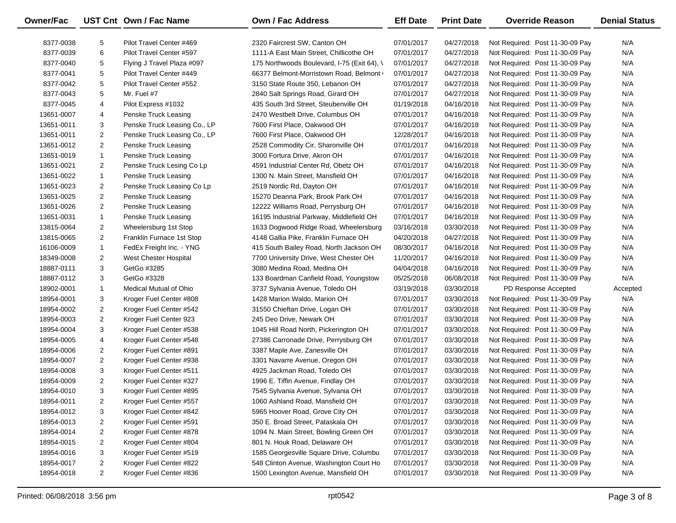| <b>Owner/Fac</b> |                | UST Cnt Own / Fac Name       | <b>Own / Fac Address</b>                    | <b>Eff Date</b> | <b>Print Date</b> | <b>Override Reason</b>          | <b>Denial Status</b> |
|------------------|----------------|------------------------------|---------------------------------------------|-----------------|-------------------|---------------------------------|----------------------|
| 8377-0038        | 5              | Pilot Travel Center #469     | 2320 Faircrest SW, Canton OH                | 07/01/2017      | 04/27/2018        | Not Required: Post 11-30-09 Pay | N/A                  |
| 8377-0039        | 6              | Pilot Travel Center #597     | 1111-A East Main Street, Chillicothe OH     | 07/01/2017      | 04/27/2018        | Not Required: Post 11-30-09 Pay | N/A                  |
| 8377-0040        | 5              | Flying J Travel Plaza #097   | 175 Northwoods Boulevard, I-75 (Exit 64), \ | 07/01/2017      | 04/27/2018        | Not Required: Post 11-30-09 Pay | N/A                  |
| 8377-0041        | 5              | Pilot Travel Center #449     | 66377 Belmont-Morristown Road, Belmont      | 07/01/2017      | 04/27/2018        | Not Required: Post 11-30-09 Pay | N/A                  |
| 8377-0042        | 5              | Pilot Travel Center #552     | 3150 State Route 350, Lebanon OH            | 07/01/2017      | 04/27/2018        | Not Required: Post 11-30-09 Pay | N/A                  |
| 8377-0043        | 5              | Mr. Fuel #7                  | 2840 Salt Springs Road, Girard OH           | 07/01/2017      | 04/27/2018        | Not Required: Post 11-30-09 Pay | N/A                  |
| 8377-0045        | 4              | Pilot Express #1032          | 435 South 3rd Street, Steubenville OH       | 01/19/2018      | 04/16/2018        | Not Required: Post 11-30-09 Pay | N/A                  |
| 13651-0007       | 4              | Penske Truck Leasing         | 2470 Westbelt Drive, Columbus OH            | 07/01/2017      | 04/16/2018        | Not Required: Post 11-30-09 Pay | N/A                  |
| 13651-0011       | 3              | Penske Truck Leasing Co., LP | 7600 First Place, Oakwood OH                | 07/01/2017      | 04/16/2018        | Not Required: Post 11-30-09 Pay | N/A                  |
| 13651-0011       | $\overline{c}$ | Penske Truck Leasing Co., LP | 7600 First Place, Oakwood OH                | 12/28/2017      | 04/16/2018        | Not Required: Post 11-30-09 Pay | N/A                  |
| 13651-0012       | $\overline{c}$ | Penske Truck Leasing         | 2528 Commodity Cir, Sharonville OH          | 07/01/2017      | 04/16/2018        | Not Required: Post 11-30-09 Pay | N/A                  |
| 13651-0019       | $\mathbf{1}$   | Penske Truck Leasing         | 3000 Fortura Drive, Akron OH                | 07/01/2017      | 04/16/2018        | Not Required: Post 11-30-09 Pay | N/A                  |
| 13651-0021       | $\overline{c}$ | Penske Truck Lesing Co Lp    | 4591 Industrial Center Rd, Obetz OH         | 07/01/2017      | 04/16/2018        | Not Required: Post 11-30-09 Pay | N/A                  |
| 13651-0022       | $\mathbf{1}$   | Penske Truck Leasing         | 1300 N. Main Street, Mansfield OH           | 07/01/2017      | 04/16/2018        | Not Required: Post 11-30-09 Pay | N/A                  |
| 13651-0023       | $\overline{c}$ | Penske Truck Leasing Co Lp   | 2519 Nordic Rd, Dayton OH                   | 07/01/2017      | 04/16/2018        | Not Required: Post 11-30-09 Pay | N/A                  |
| 13651-0025       | $\overline{c}$ | Penske Truck Leasing         | 15270 Deanna Park, Brook Park OH            | 07/01/2017      | 04/16/2018        | Not Required: Post 11-30-09 Pay | N/A                  |
| 13651-0026       | $\overline{c}$ | Penske Truck Leasing         | 12222 Williams Road, Perrysburg OH          | 07/01/2017      | 04/16/2018        | Not Required: Post 11-30-09 Pay | N/A                  |
| 13651-0031       | $\mathbf{1}$   | Penske Truck Leasing         | 16195 Industrial Parkway, Middlefield OH    | 07/01/2017      | 04/16/2018        | Not Required: Post 11-30-09 Pay | N/A                  |
| 13815-0064       | $\overline{c}$ | Wheelersburg 1st Stop        | 1633 Dogwood Ridge Road, Wheelersburg       | 03/16/2018      | 03/30/2018        | Not Required: Post 11-30-09 Pay | N/A                  |
| 13815-0065       | $\overline{c}$ | Franklin Furnace 1st Stop    | 4148 Gallia Pike, Franklin Furnace OH       | 04/20/2018      | 04/27/2018        | Not Required: Post 11-30-09 Pay | N/A                  |
| 16106-0009       | $\mathbf{1}$   | FedEx Freight Inc. - YNG     | 415 South Bailey Road, North Jackson OH     | 08/30/2017      | 04/16/2018        | Not Required: Post 11-30-09 Pay | N/A                  |
| 18349-0008       | $\overline{c}$ | West Chester Hospital        | 7700 University Drive, West Chester OH      | 11/20/2017      | 04/16/2018        | Not Required: Post 11-30-09 Pay | N/A                  |
| 18887-0111       | 3              | GetGo #3285                  | 3080 Medina Road, Medina OH                 | 04/04/2018      | 04/16/2018        | Not Required: Post 11-30-09 Pay | N/A                  |
| 18887-0112       | 3              | GetGo #3328                  | 133 Boardman Canfield Road, Youngstow       | 05/25/2018      | 06/08/2018        | Not Required: Post 11-30-09 Pay | N/A                  |
| 18902-0001       | $\mathbf{1}$   | Medical Mutual of Ohio       | 3737 Sylvania Avenue, Toledo OH             | 03/19/2018      | 03/30/2018        | PD Response Accepted            | Accepted             |
| 18954-0001       | 3              | Kroger Fuel Center #808      | 1428 Marion Waldo, Marion OH                | 07/01/2017      | 03/30/2018        | Not Required: Post 11-30-09 Pay | N/A                  |
| 18954-0002       | $\overline{c}$ | Kroger Fuel Center #542      | 31550 Chieftan Drive, Logan OH              | 07/01/2017      | 03/30/2018        | Not Required: Post 11-30-09 Pay | N/A                  |
| 18954-0003       | $\overline{c}$ | Kroger Fuel Center 923       | 245 Deo Drive, Newark OH                    | 07/01/2017      | 03/30/2018        | Not Required: Post 11-30-09 Pay | N/A                  |
| 18954-0004       | 3              | Kroger Fuel Center #538      | 1045 Hill Road North, Pickerington OH       | 07/01/2017      | 03/30/2018        | Not Required: Post 11-30-09 Pay | N/A                  |
| 18954-0005       | 4              | Kroger Fuel Center #548      | 27386 Carronade Drive, Perrysburg OH        | 07/01/2017      | 03/30/2018        | Not Required: Post 11-30-09 Pay | N/A                  |
| 18954-0006       | $\overline{c}$ | Kroger Fuel Center #891      | 3387 Maple Ave, Zanesville OH               | 07/01/2017      | 03/30/2018        | Not Required: Post 11-30-09 Pay | N/A                  |
| 18954-0007       | $\overline{c}$ | Kroger Fuel Center #938      | 3301 Navarre Avenue, Oregon OH              | 07/01/2017      | 03/30/2018        | Not Required: Post 11-30-09 Pay | N/A                  |
| 18954-0008       | 3              | Kroger Fuel Center #511      | 4925 Jackman Road, Toledo OH                | 07/01/2017      | 03/30/2018        | Not Required: Post 11-30-09 Pay | N/A                  |
| 18954-0009       | $\overline{2}$ | Kroger Fuel Center #327      | 1996 E. Tiffin Avenue, Findlay OH           | 07/01/2017      | 03/30/2018        | Not Required: Post 11-30-09 Pay | N/A                  |
| 18954-0010       | 3              | Kroger Fuel Center #895      | 7545 Sylvania Avenue, Sylvania OH           | 07/01/2017      | 03/30/2018        | Not Required: Post 11-30-09 Pay | N/A                  |
| 18954-0011       | 2              | Kroger Fuel Center #557      | 1060 Ashland Road, Mansfield OH             | 07/01/2017      | 03/30/2018        | Not Required: Post 11-30-09 Pay | N/A                  |
| 18954-0012       | 3              | Kroger Fuel Center #842      | 5965 Hoover Road, Grove City OH             | 07/01/2017      | 03/30/2018        | Not Required: Post 11-30-09 Pay | N/A                  |
| 18954-0013       | 2              | Kroger Fuel Center #591      | 350 E. Broad Street, Pataskala OH           | 07/01/2017      | 03/30/2018        | Not Required: Post 11-30-09 Pay | N/A                  |
| 18954-0014       | 2              | Kroger Fuel Center #878      | 1094 N. Main Street, Bowling Green OH       | 07/01/2017      | 03/30/2018        | Not Required: Post 11-30-09 Pay | N/A                  |
| 18954-0015       | 2              | Kroger Fuel Center #804      | 801 N. Houk Road, Delaware OH               | 07/01/2017      | 03/30/2018        | Not Required: Post 11-30-09 Pay | N/A                  |
| 18954-0016       | 3              | Kroger Fuel Center #519      | 1585 Georgesville Square Drive, Columbu     | 07/01/2017      | 03/30/2018        | Not Required: Post 11-30-09 Pay | N/A                  |
| 18954-0017       | $\overline{c}$ | Kroger Fuel Center #822      | 548 Clinton Avenue, Washington Court Ho     | 07/01/2017      | 03/30/2018        | Not Required: Post 11-30-09 Pay | N/A                  |
| 18954-0018       | $\overline{2}$ | Kroger Fuel Center #836      | 1500 Lexington Avenue, Mansfield OH         | 07/01/2017      | 03/30/2018        | Not Required: Post 11-30-09 Pay | N/A                  |

 $\overline{\phantom{0}}$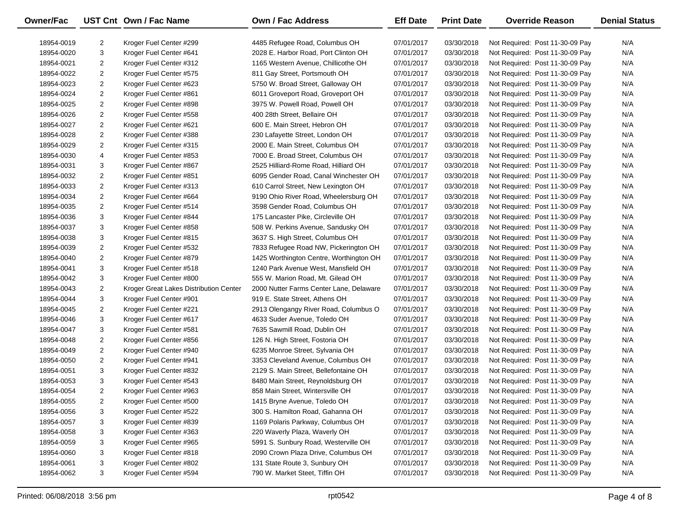| Owner/Fac  |                | UST Cnt Own / Fac Name                 | <b>Own / Fac Address</b>                | <b>Eff Date</b> | <b>Print Date</b> | <b>Override Reason</b>          | <b>Denial Status</b> |
|------------|----------------|----------------------------------------|-----------------------------------------|-----------------|-------------------|---------------------------------|----------------------|
| 18954-0019 | 2              | Kroger Fuel Center #299                | 4485 Refugee Road, Columbus OH          | 07/01/2017      | 03/30/2018        | Not Required: Post 11-30-09 Pay | N/A                  |
| 18954-0020 | 3              | Kroger Fuel Center #641                | 2028 E. Harbor Road, Port Clinton OH    | 07/01/2017      | 03/30/2018        | Not Required: Post 11-30-09 Pay | N/A                  |
| 18954-0021 | $\overline{2}$ | Kroger Fuel Center #312                | 1165 Western Avenue, Chillicothe OH     | 07/01/2017      | 03/30/2018        | Not Required: Post 11-30-09 Pay | N/A                  |
| 18954-0022 | $\overline{2}$ | Kroger Fuel Center #575                | 811 Gay Street, Portsmouth OH           | 07/01/2017      | 03/30/2018        | Not Required: Post 11-30-09 Pay | N/A                  |
| 18954-0023 | $\overline{2}$ | Kroger Fuel Center #623                | 5750 W. Broad Street, Galloway OH       | 07/01/2017      | 03/30/2018        | Not Required: Post 11-30-09 Pay | N/A                  |
| 18954-0024 | $\overline{2}$ | Kroger Fuel Center #861                | 6011 Groveport Road, Groveport OH       | 07/01/2017      | 03/30/2018        | Not Required: Post 11-30-09 Pay | N/A                  |
| 18954-0025 | $\overline{2}$ | Kroger Fuel Center #898                | 3975 W. Powell Road, Powell OH          | 07/01/2017      | 03/30/2018        | Not Required: Post 11-30-09 Pay | N/A                  |
| 18954-0026 | $\overline{2}$ | Kroger Fuel Center #558                | 400 28th Street, Bellaire OH            | 07/01/2017      | 03/30/2018        | Not Required: Post 11-30-09 Pay | N/A                  |
| 18954-0027 | $\overline{2}$ | Kroger Fuel Center #621                | 600 E. Main Street, Hebron OH           | 07/01/2017      | 03/30/2018        | Not Required: Post 11-30-09 Pay | N/A                  |
| 18954-0028 | $\overline{2}$ | Kroger Fuel Center #388                | 230 Lafayette Street, London OH         | 07/01/2017      | 03/30/2018        | Not Required: Post 11-30-09 Pay | N/A                  |
| 18954-0029 | $\overline{2}$ | Kroger Fuel Center #315                | 2000 E. Main Street, Columbus OH        | 07/01/2017      | 03/30/2018        | Not Required: Post 11-30-09 Pay | N/A                  |
| 18954-0030 | 4              | Kroger Fuel Center #853                | 7000 E. Broad Street, Columbus OH       | 07/01/2017      | 03/30/2018        | Not Required: Post 11-30-09 Pay | N/A                  |
| 18954-0031 | 3              | Kroger Fuel Center #867                | 2525 Hilliard-Rome Road, Hilliard OH    | 07/01/2017      | 03/30/2018        | Not Required: Post 11-30-09 Pay | N/A                  |
| 18954-0032 | 2              | Kroger Fuel Center #851                | 6095 Gender Road, Canal Winchester OH   | 07/01/2017      | 03/30/2018        | Not Required: Post 11-30-09 Pay | N/A                  |
| 18954-0033 | $\overline{2}$ | Kroger Fuel Center #313                | 610 Carrol Street, New Lexington OH     | 07/01/2017      | 03/30/2018        | Not Required: Post 11-30-09 Pay | N/A                  |
| 18954-0034 | $\overline{2}$ | Kroger Fuel Center #664                | 9190 Ohio River Road, Wheelersburg OH   | 07/01/2017      | 03/30/2018        | Not Required: Post 11-30-09 Pay | N/A                  |
| 18954-0035 | $\overline{2}$ | Kroger Fuel Center #514                | 3598 Gender Road, Columbus OH           | 07/01/2017      | 03/30/2018        | Not Required: Post 11-30-09 Pay | N/A                  |
| 18954-0036 | 3              | Kroger Fuel Center #844                | 175 Lancaster Pike, Circleville OH      | 07/01/2017      | 03/30/2018        | Not Required: Post 11-30-09 Pay | N/A                  |
| 18954-0037 | 3              | Kroger Fuel Center #858                | 508 W. Perkins Avenue, Sandusky OH      | 07/01/2017      | 03/30/2018        | Not Required: Post 11-30-09 Pay | N/A                  |
| 18954-0038 | 3              | Kroger Fuel Center #815                | 3637 S. High Street, Columbus OH        | 07/01/2017      | 03/30/2018        | Not Required: Post 11-30-09 Pay | N/A                  |
| 18954-0039 | $\overline{2}$ | Kroger Fuel Center #532                | 7833 Refugee Road NW, Pickerington OH   | 07/01/2017      | 03/30/2018        | Not Required: Post 11-30-09 Pay | N/A                  |
| 18954-0040 | $\overline{2}$ | Kroger Fuel Center #879                | 1425 Worthington Centre, Worthington OH | 07/01/2017      | 03/30/2018        | Not Required: Post 11-30-09 Pay | N/A                  |
| 18954-0041 | 3              | Kroger Fuel Center #518                | 1240 Park Avenue West, Mansfield OH     | 07/01/2017      | 03/30/2018        | Not Required: Post 11-30-09 Pay | N/A                  |
| 18954-0042 | 3              | Kroger Fuel Center #800                | 555 W. Marion Road, Mt. Gilead OH       | 07/01/2017      | 03/30/2018        | Not Required: Post 11-30-09 Pay | N/A                  |
| 18954-0043 | $\overline{2}$ | Kroger Great Lakes Distribution Center | 2000 Nutter Farms Center Lane, Delaware | 07/01/2017      | 03/30/2018        | Not Required: Post 11-30-09 Pay | N/A                  |
| 18954-0044 | 3              | Kroger Fuel Center #901                | 919 E. State Street, Athens OH          | 07/01/2017      | 03/30/2018        | Not Required: Post 11-30-09 Pay | N/A                  |
| 18954-0045 | $\overline{2}$ | Kroger Fuel Center #221                | 2913 Olengangy River Road, Columbus O   | 07/01/2017      | 03/30/2018        | Not Required: Post 11-30-09 Pay | N/A                  |
| 18954-0046 | 3              | Kroger Fuel Center #617                | 4633 Suder Avenue, Toledo OH            | 07/01/2017      | 03/30/2018        | Not Required: Post 11-30-09 Pay | N/A                  |
| 18954-0047 | 3              | Kroger Fuel Center #581                | 7635 Sawmill Road, Dublin OH            | 07/01/2017      | 03/30/2018        | Not Required: Post 11-30-09 Pay | N/A                  |
| 18954-0048 | 2              | Kroger Fuel Center #856                | 126 N. High Street, Fostoria OH         | 07/01/2017      | 03/30/2018        | Not Required: Post 11-30-09 Pay | N/A                  |
| 18954-0049 | $\overline{2}$ | Kroger Fuel Center #940                | 6235 Monroe Street, Sylvania OH         | 07/01/2017      | 03/30/2018        | Not Required: Post 11-30-09 Pay | N/A                  |
| 18954-0050 | $\overline{2}$ | Kroger Fuel Center #941                | 3353 Cleveland Avenue, Columbus OH      | 07/01/2017      | 03/30/2018        | Not Required: Post 11-30-09 Pay | N/A                  |
| 18954-0051 | 3              | Kroger Fuel Center #832                | 2129 S. Main Street, Bellefontaine OH   | 07/01/2017      | 03/30/2018        | Not Required: Post 11-30-09 Pay | N/A                  |
| 18954-0053 | 3              | Kroger Fuel Center #543                | 8480 Main Street, Reynoldsburg OH       | 07/01/2017      | 03/30/2018        | Not Required: Post 11-30-09 Pay | N/A                  |
| 18954-0054 | $\overline{2}$ | Kroger Fuel Center #963                | 858 Main Street, Wintersville OH        | 07/01/2017      | 03/30/2018        | Not Required: Post 11-30-09 Pay | N/A                  |
| 18954-0055 | 2              | Kroger Fuel Center #500                | 1415 Bryne Avenue, Toledo OH            | 07/01/2017      | 03/30/2018        | Not Required: Post 11-30-09 Pay | N/A                  |
| 18954-0056 | 3              | Kroger Fuel Center #522                | 300 S. Hamilton Road, Gahanna OH        | 07/01/2017      | 03/30/2018        | Not Required: Post 11-30-09 Pay | N/A                  |
| 18954-0057 | 3              | Kroger Fuel Center #839                | 1169 Polaris Parkway, Columbus OH       | 07/01/2017      | 03/30/2018        | Not Required: Post 11-30-09 Pay | N/A                  |
| 18954-0058 | 3              | Kroger Fuel Center #363                | 220 Waverly Plaza, Waverly OH           | 07/01/2017      | 03/30/2018        | Not Required: Post 11-30-09 Pay | N/A                  |
| 18954-0059 | 3              | Kroger Fuel Center #965                | 5991 S. Sunbury Road, Westerville OH    | 07/01/2017      | 03/30/2018        | Not Required: Post 11-30-09 Pay | N/A                  |
| 18954-0060 | 3              | Kroger Fuel Center #818                | 2090 Crown Plaza Drive, Columbus OH     | 07/01/2017      | 03/30/2018        | Not Required: Post 11-30-09 Pay | N/A                  |
| 18954-0061 | 3              | Kroger Fuel Center #802                | 131 State Route 3, Sunbury OH           | 07/01/2017      | 03/30/2018        | Not Required: Post 11-30-09 Pay | N/A                  |
| 18954-0062 | 3              | Kroger Fuel Center #594                | 790 W. Market Steet, Tiffin OH          | 07/01/2017      | 03/30/2018        | Not Required: Post 11-30-09 Pay | N/A                  |

 $\overline{\phantom{0}}$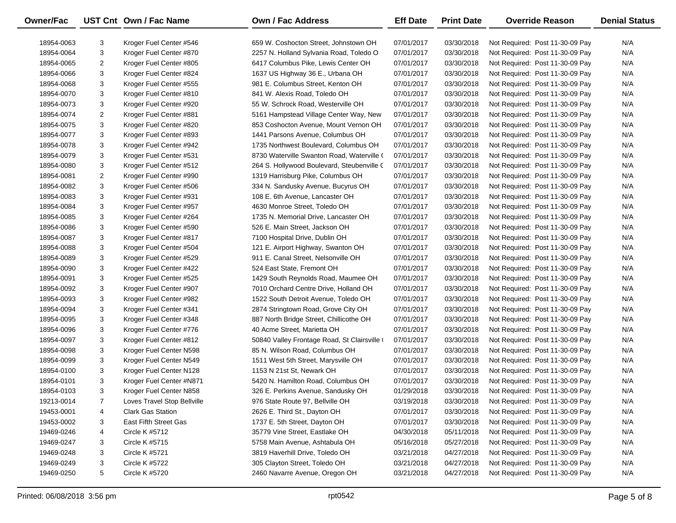| <b>Owner/Fac</b> |                | UST Cnt Own / Fac Name      | Own / Fac Address                          | <b>Eff Date</b> | <b>Print Date</b> | <b>Override Reason</b>          | <b>Denial Status</b> |
|------------------|----------------|-----------------------------|--------------------------------------------|-----------------|-------------------|---------------------------------|----------------------|
| 18954-0063       | 3              | Kroger Fuel Center #546     | 659 W. Coshocton Street, Johnstown OH      | 07/01/2017      | 03/30/2018        | Not Required: Post 11-30-09 Pay | N/A                  |
| 18954-0064       | 3              | Kroger Fuel Center #870     | 2257 N. Holland Sylvania Road, Toledo O    | 07/01/2017      | 03/30/2018        | Not Required: Post 11-30-09 Pay | N/A                  |
| 18954-0065       | $\overline{2}$ | Kroger Fuel Center #805     | 6417 Columbus Pike, Lewis Center OH        | 07/01/2017      | 03/30/2018        | Not Required: Post 11-30-09 Pay | N/A                  |
| 18954-0066       | 3              | Kroger Fuel Center #824     | 1637 US Highway 36 E., Urbana OH           | 07/01/2017      | 03/30/2018        | Not Required: Post 11-30-09 Pay | N/A                  |
| 18954-0068       | 3              | Kroger Fuel Center #555     | 981 E. Columbus Street, Kenton OH          | 07/01/2017      | 03/30/2018        | Not Required: Post 11-30-09 Pay | N/A                  |
| 18954-0070       | 3              | Kroger Fuel Center #810     | 841 W. Alexis Road, Toledo OH              | 07/01/2017      | 03/30/2018        | Not Required: Post 11-30-09 Pay | N/A                  |
| 18954-0073       | 3              | Kroger Fuel Center #920     | 55 W. Schrock Road, Westerville OH         | 07/01/2017      | 03/30/2018        | Not Required: Post 11-30-09 Pay | N/A                  |
| 18954-0074       | $\overline{2}$ | Kroger Fuel Center #881     | 5161 Hampstead Village Center Way, New     | 07/01/2017      | 03/30/2018        | Not Required: Post 11-30-09 Pay | N/A                  |
| 18954-0075       | 3              | Kroger Fuel Center #820     | 853 Coshocton Avenue, Mount Vernon OH      | 07/01/2017      | 03/30/2018        | Not Required: Post 11-30-09 Pay | N/A                  |
| 18954-0077       | 3              | Kroger Fuel Center #893     | 1441 Parsons Avenue, Columbus OH           | 07/01/2017      | 03/30/2018        | Not Required: Post 11-30-09 Pay | N/A                  |
| 18954-0078       | 3              | Kroger Fuel Center #942     | 1735 Northwest Boulevard, Columbus OH      | 07/01/2017      | 03/30/2018        | Not Required: Post 11-30-09 Pay | N/A                  |
| 18954-0079       | 3              | Kroger Fuel Center #531     | 8730 Waterville Swanton Road, Waterville ( | 07/01/2017      | 03/30/2018        | Not Required: Post 11-30-09 Pay | N/A                  |
| 18954-0080       | 3              | Kroger Fuel Center #512     | 264 S. Hollywood Boulevard, Steubenville ( | 07/01/2017      | 03/30/2018        | Not Required: Post 11-30-09 Pay | N/A                  |
| 18954-0081       | $\overline{2}$ | Kroger Fuel Center #990     | 1319 Harrisburg Pike, Columbus OH          | 07/01/2017      | 03/30/2018        | Not Required: Post 11-30-09 Pay | N/A                  |
| 18954-0082       | 3              | Kroger Fuel Center #506     | 334 N. Sandusky Avenue, Bucyrus OH         | 07/01/2017      | 03/30/2018        | Not Required: Post 11-30-09 Pay | N/A                  |
| 18954-0083       | 3              | Kroger Fuel Center #931     | 108 E. 6th Avenue, Lancaster OH            | 07/01/2017      | 03/30/2018        | Not Required: Post 11-30-09 Pay | N/A                  |
| 18954-0084       | 3              | Kroger Fuel Center #957     | 4630 Monroe Street, Toledo OH              | 07/01/2017      | 03/30/2018        | Not Required: Post 11-30-09 Pay | N/A                  |
| 18954-0085       | 3              | Kroger Fuel Center #264     | 1735 N. Memorial Drive, Lancaster OH       | 07/01/2017      | 03/30/2018        | Not Required: Post 11-30-09 Pay | N/A                  |
| 18954-0086       | 3              | Kroger Fuel Center #590     | 526 E. Main Street, Jackson OH             | 07/01/2017      | 03/30/2018        | Not Required: Post 11-30-09 Pay | N/A                  |
| 18954-0087       | 3              | Kroger Fuel Center #817     | 7100 Hospital Drive, Dublin OH             | 07/01/2017      | 03/30/2018        | Not Required: Post 11-30-09 Pay | N/A                  |
| 18954-0088       | 3              | Kroger Fuel Center #504     | 121 E. Airport Highway, Swanton OH         | 07/01/2017      | 03/30/2018        | Not Required: Post 11-30-09 Pay | N/A                  |
| 18954-0089       | 3              | Kroger Fuel Center #529     | 911 E. Canal Street, Nelsonville OH        | 07/01/2017      | 03/30/2018        | Not Required: Post 11-30-09 Pay | N/A                  |
| 18954-0090       | 3              | Kroger Fuel Center #422     | 524 East State, Fremont OH                 | 07/01/2017      | 03/30/2018        | Not Required: Post 11-30-09 Pay | N/A                  |
| 18954-0091       | 3              | Kroger Fuel Center #525     | 1429 South Reynolds Road, Maumee OH        | 07/01/2017      | 03/30/2018        | Not Required: Post 11-30-09 Pay | N/A                  |
| 18954-0092       | 3              | Kroger Fuel Center #907     | 7010 Orchard Centre Drive, Holland OH      | 07/01/2017      | 03/30/2018        | Not Required: Post 11-30-09 Pay | N/A                  |
| 18954-0093       | 3              | Kroger Fuel Center #982     | 1522 South Detroit Avenue, Toledo OH       | 07/01/2017      | 03/30/2018        | Not Required: Post 11-30-09 Pay | N/A                  |
| 18954-0094       | 3              | Kroger Fuel Center #341     | 2874 Stringtown Road, Grove City OH        | 07/01/2017      | 03/30/2018        | Not Required: Post 11-30-09 Pay | N/A                  |
| 18954-0095       | 3              | Kroger Fuel Center #348     | 887 North Bridge Street, Chillicothe OH    | 07/01/2017      | 03/30/2018        | Not Required: Post 11-30-09 Pay | N/A                  |
| 18954-0096       | 3              | Kroger Fuel Center #776     | 40 Acme Street, Marietta OH                | 07/01/2017      | 03/30/2018        | Not Required: Post 11-30-09 Pay | N/A                  |
| 18954-0097       | 3              | Kroger Fuel Center #812     | 50840 Valley Frontage Road, St Clairsville | 07/01/2017      | 03/30/2018        | Not Required: Post 11-30-09 Pay | N/A                  |
| 18954-0098       | 3              | Kroger Fuel Center N598     | 85 N. Wilson Road, Columbus OH             | 07/01/2017      | 03/30/2018        | Not Required: Post 11-30-09 Pay | N/A                  |
| 18954-0099       | 3              | Kroger Fuel Center N549     | 1511 West 5th Street, Marysville OH        | 07/01/2017      | 03/30/2018        | Not Required: Post 11-30-09 Pay | N/A                  |
| 18954-0100       | 3              | Kroger Fuel Center N128     | 1153 N 21st St, Newark OH                  | 07/01/2017      | 03/30/2018        | Not Required: Post 11-30-09 Pay | N/A                  |
| 18954-0101       | 3              | Kroger Fuel Center #N871    | 5420 N. Hamilton Road, Columbus OH         | 07/01/2017      | 03/30/2018        | Not Required: Post 11-30-09 Pay | N/A                  |
| 18954-0103       | 3              | Kroger Fuel Center N858     | 326 E. Perkins Avenue, Sandusky OH         | 01/29/2018      | 03/30/2018        | Not Required: Post 11-30-09 Pay | N/A                  |
| 19213-0014       | 7              | Loves Travel Stop Bellville | 976 State Route 97, Bellville OH           | 03/19/2018      | 03/30/2018        | Not Required: Post 11-30-09 Pay | N/A                  |
| 19453-0001       | 4              | <b>Clark Gas Station</b>    | 2626 E. Third St., Dayton OH               | 07/01/2017      | 03/30/2018        | Not Required: Post 11-30-09 Pay | N/A                  |
| 19453-0002       | 3              | East Fifth Street Gas       | 1737 E. 5th Street, Dayton OH              | 07/01/2017      | 03/30/2018        | Not Required: Post 11-30-09 Pay | N/A                  |
| 19469-0246       | 4              | <b>Circle K #5712</b>       | 35779 Vine Street, Eastlake OH             | 04/30/2018      | 05/11/2018        | Not Required: Post 11-30-09 Pay | N/A                  |
| 19469-0247       | 3              | Circle K #5715              | 5758 Main Avenue, Ashtabula OH             | 05/16/2018      | 05/27/2018        | Not Required: Post 11-30-09 Pay | N/A                  |
| 19469-0248       | 3              | Circle K #5721              | 3819 Haverhill Drive, Toledo OH            | 03/21/2018      | 04/27/2018        | Not Required: Post 11-30-09 Pay | N/A                  |
| 19469-0249       | 3              | <b>Circle K #5722</b>       | 305 Clayton Street, Toledo OH              | 03/21/2018      | 04/27/2018        | Not Required: Post 11-30-09 Pay | N/A                  |
| 19469-0250       | 5              | <b>Circle K #5720</b>       | 2460 Navarre Avenue, Oregon OH             | 03/21/2018      | 04/27/2018        | Not Required: Post 11-30-09 Pay | N/A                  |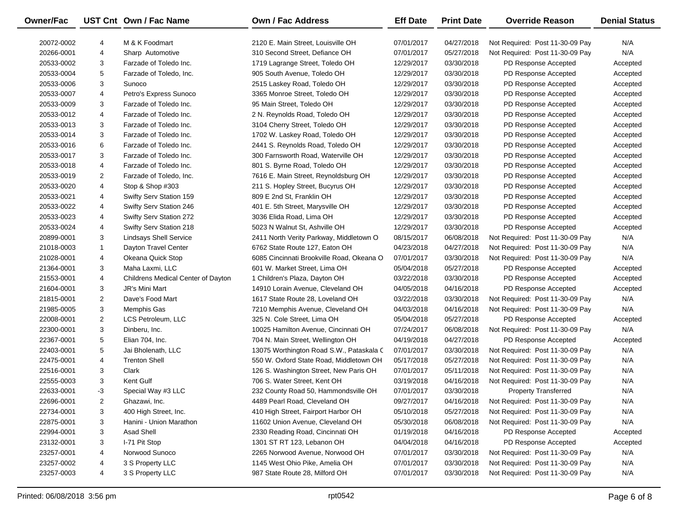| Owner/Fac  |                | UST Cnt Own / Fac Name             | <b>Own / Fac Address</b>                  | <b>Eff Date</b> | <b>Print Date</b> | <b>Override Reason</b>          | <b>Denial Status</b> |
|------------|----------------|------------------------------------|-------------------------------------------|-----------------|-------------------|---------------------------------|----------------------|
| 20072-0002 | 4              | M & K Foodmart                     | 2120 E. Main Street. Louisville OH        | 07/01/2017      | 04/27/2018        | Not Required: Post 11-30-09 Pay | N/A                  |
| 20266-0001 | 4              | Sharp Automotive                   | 310 Second Street, Defiance OH            | 07/01/2017      | 05/27/2018        | Not Required: Post 11-30-09 Pay | N/A                  |
| 20533-0002 | 3              | Farzade of Toledo Inc.             | 1719 Lagrange Street, Toledo OH           | 12/29/2017      | 03/30/2018        | PD Response Accepted            | Accepted             |
| 20533-0004 | 5              | Farzade of Toledo, Inc.            | 905 South Avenue, Toledo OH               | 12/29/2017      | 03/30/2018        | PD Response Accepted            | Accepted             |
| 20533-0006 | 3              | Sunoco                             | 2515 Laskey Road, Toledo OH               | 12/29/2017      | 03/30/2018        | PD Response Accepted            | Accepted             |
| 20533-0007 | 4              | Petro's Express Sunoco             | 3365 Monroe Street, Toledo OH             | 12/29/2017      | 03/30/2018        | PD Response Accepted            | Accepted             |
| 20533-0009 | 3              | Farzade of Toledo Inc.             | 95 Main Street, Toledo OH                 | 12/29/2017      | 03/30/2018        | PD Response Accepted            | Accepted             |
| 20533-0012 | 4              | Farzade of Toledo Inc.             | 2 N. Reynolds Road, Toledo OH             | 12/29/2017      | 03/30/2018        | PD Response Accepted            | Accepted             |
| 20533-0013 | 3              | Farzade of Toledo Inc.             | 3104 Cherry Street, Toledo OH             | 12/29/2017      | 03/30/2018        | PD Response Accepted            | Accepted             |
| 20533-0014 | 3              | Farzade of Toledo Inc.             | 1702 W. Laskey Road, Toledo OH            | 12/29/2017      | 03/30/2018        | PD Response Accepted            | Accepted             |
| 20533-0016 | 6              | Farzade of Toledo Inc.             | 2441 S. Reynolds Road, Toledo OH          | 12/29/2017      | 03/30/2018        | PD Response Accepted            | Accepted             |
| 20533-0017 | 3              | Farzade of Toledo Inc.             | 300 Farnsworth Road, Waterville OH        | 12/29/2017      | 03/30/2018        | PD Response Accepted            | Accepted             |
| 20533-0018 | 4              | Farzade of Toledo Inc.             | 801 S. Byrne Road, Toledo OH              | 12/29/2017      | 03/30/2018        | PD Response Accepted            | Accepted             |
| 20533-0019 | 2              | Farzade of Toledo, Inc.            | 7616 E. Main Street, Reynoldsburg OH      | 12/29/2017      | 03/30/2018        | PD Response Accepted            | Accepted             |
| 20533-0020 | 4              | Stop & Shop #303                   | 211 S. Hopley Street, Bucyrus OH          | 12/29/2017      | 03/30/2018        | PD Response Accepted            | Accepted             |
| 20533-0021 | 4              | Swifty Serv Station 159            | 809 E 2nd St, Franklin OH                 | 12/29/2017      | 03/30/2018        | PD Response Accepted            | Accepted             |
| 20533-0022 | 4              | Swifty Serv Station 246            | 401 E. 5th Street, Marysville OH          | 12/29/2017      | 03/30/2018        | PD Response Accepted            | Accepted             |
| 20533-0023 | 4              | Swifty Serv Station 272            | 3036 Elida Road, Lima OH                  | 12/29/2017      | 03/30/2018        | PD Response Accepted            | Accepted             |
| 20533-0024 | 4              | Swifty Serv Station 218            | 5023 N Walnut St, Ashville OH             | 12/29/2017      | 03/30/2018        | PD Response Accepted            | Accepted             |
| 20899-0001 | 3              | <b>Lindsays Shell Service</b>      | 2411 North Verity Parkway, Middletown O   | 08/15/2017      | 06/08/2018        | Not Required: Post 11-30-09 Pay | N/A                  |
| 21018-0003 | 1              | Dayton Travel Center               | 6762 State Route 127, Eaton OH            | 04/23/2018      | 04/27/2018        | Not Required: Post 11-30-09 Pay | N/A                  |
| 21028-0001 | 4              | Okeana Quick Stop                  | 6085 Cincinnati Brookville Road, Okeana O | 07/01/2017      | 03/30/2018        | Not Required: Post 11-30-09 Pay | N/A                  |
| 21364-0001 | 3              | Maha Laxmi, LLC                    | 601 W. Market Street, Lima OH             | 05/04/2018      | 05/27/2018        | PD Response Accepted            | Accepted             |
| 21553-0001 | 4              | Childrens Medical Center of Dayton | 1 Children's Plaza, Dayton OH             | 03/22/2018      | 03/30/2018        | PD Response Accepted            | Accepted             |
| 21604-0001 | 3              | JR's Mini Mart                     | 14910 Lorain Avenue, Cleveland OH         | 04/05/2018      | 04/16/2018        | PD Response Accepted            | Accepted             |
| 21815-0001 | 2              | Dave's Food Mart                   | 1617 State Route 28, Loveland OH          | 03/22/2018      | 03/30/2018        | Not Required: Post 11-30-09 Pay | N/A                  |
| 21985-0005 | 3              | Memphis Gas                        | 7210 Memphis Avenue, Cleveland OH         | 04/03/2018      | 04/16/2018        | Not Required: Post 11-30-09 Pay | N/A                  |
| 22008-0001 | $\overline{2}$ | LCS Petroleum, LLC                 | 325 N. Cole Street, Lima OH               | 05/04/2018      | 05/27/2018        | PD Response Accepted            | Accepted             |
| 22300-0001 | 3              | Dinberu, Inc.                      | 10025 Hamilton Avenue, Cincinnati OH      | 07/24/2017      | 06/08/2018        | Not Required: Post 11-30-09 Pay | N/A                  |
| 22367-0001 | 5              | Elian 704, Inc.                    | 704 N. Main Street, Wellington OH         | 04/19/2018      | 04/27/2018        | PD Response Accepted            | Accepted             |
| 22403-0001 | 5              | Jai Bholenath, LLC                 | 13075 Worthington Road S.W., Pataskala C  | 07/01/2017      | 03/30/2018        | Not Required: Post 11-30-09 Pay | N/A                  |
| 22475-0001 | 4              | <b>Trenton Shell</b>               | 550 W. Oxford State Road, Middletown OH   | 05/17/2018      | 05/27/2018        | Not Required: Post 11-30-09 Pay | N/A                  |
| 22516-0001 | 3              | Clark                              | 126 S. Washington Street, New Paris OH    | 07/01/2017      | 05/11/2018        | Not Required: Post 11-30-09 Pay | N/A                  |
| 22555-0003 | 3              | Kent Gulf                          | 706 S. Water Street, Kent OH              | 03/19/2018      | 04/16/2018        | Not Required: Post 11-30-09 Pay | N/A                  |
| 22633-0001 | -3             | Special Way #3 LLC                 | 232 County Road 50, Hammondsville OH      | 07/01/2017      | 03/30/2018        | <b>Property Transferred</b>     | N/A                  |
| 22696-0001 | 2              | Ghazawi, Inc.                      | 4489 Pearl Road, Cleveland OH             | 09/27/2017      | 04/16/2018        | Not Required: Post 11-30-09 Pay | N/A                  |
| 22734-0001 | 3              | 400 High Street, Inc.              | 410 High Street, Fairport Harbor OH       | 05/10/2018      | 05/27/2018        | Not Required: Post 11-30-09 Pay | N/A                  |
| 22875-0001 | 3              | Hanini - Union Marathon            | 11602 Union Avenue, Cleveland OH          | 05/30/2018      | 06/08/2018        | Not Required: Post 11-30-09 Pay | N/A                  |
| 22994-0001 | 3              | Asad Shell                         | 2330 Reading Road, Cincinnati OH          | 01/19/2018      | 04/16/2018        | PD Response Accepted            | Accepted             |
| 23132-0001 | 3              | I-71 Pit Stop                      | 1301 ST RT 123, Lebanon OH                | 04/04/2018      | 04/16/2018        | PD Response Accepted            | Accepted             |
| 23257-0001 | 4              | Norwood Sunoco                     | 2265 Norwood Avenue, Norwood OH           | 07/01/2017      | 03/30/2018        | Not Required: Post 11-30-09 Pay | N/A                  |
| 23257-0002 | 4              | 3 S Property LLC                   | 1145 West Ohio Pike, Amelia OH            | 07/01/2017      | 03/30/2018        | Not Required: Post 11-30-09 Pay | N/A                  |
| 23257-0003 | 4              | 3 S Property LLC                   | 987 State Route 28, Milford OH            | 07/01/2017      | 03/30/2018        | Not Required: Post 11-30-09 Pay | N/A                  |

 $\overline{\phantom{0}}$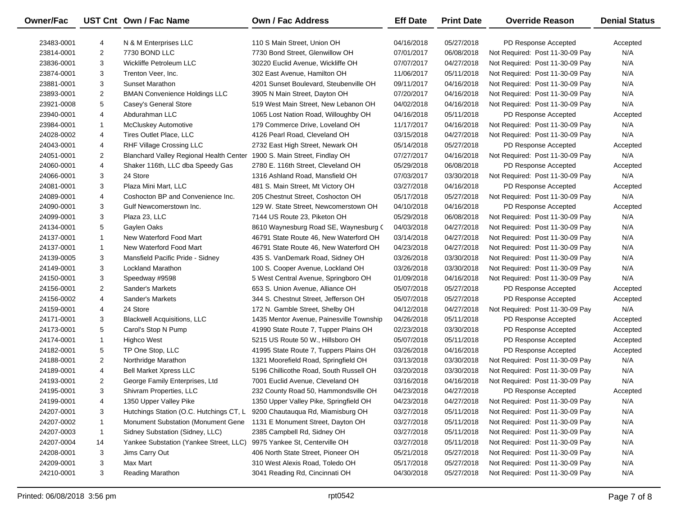| Owner/Fac  |                | UST Cnt Own / Fac Name                  | <b>Own / Fac Address</b>                 | <b>Eff Date</b> | <b>Print Date</b> | <b>Override Reason</b>          | <b>Denial Status</b> |
|------------|----------------|-----------------------------------------|------------------------------------------|-----------------|-------------------|---------------------------------|----------------------|
| 23483-0001 | 4              | N & M Enterprises LLC                   | 110 S Main Street, Union OH              | 04/16/2018      | 05/27/2018        | PD Response Accepted            | Accepted             |
| 23814-0001 | $\overline{2}$ | 7730 BOND LLC                           | 7730 Bond Street, Glenwillow OH          | 07/01/2017      | 06/08/2018        | Not Required: Post 11-30-09 Pay | N/A                  |
| 23836-0001 | 3              | Wickliffe Petroleum LLC                 | 30220 Euclid Avenue, Wickliffe OH        | 07/07/2017      | 04/27/2018        | Not Required: Post 11-30-09 Pay | N/A                  |
| 23874-0001 | 3              | Trenton Veer, Inc.                      | 302 East Avenue, Hamilton OH             | 11/06/2017      | 05/11/2018        | Not Required: Post 11-30-09 Pay | N/A                  |
| 23881-0001 | 3              | Sunset Marathon                         | 4201 Sunset Boulevard, Steubenville OH   | 09/11/2017      | 04/16/2018        | Not Required: Post 11-30-09 Pay | N/A                  |
| 23893-0001 | $\overline{2}$ | <b>BMAN Convenience Holdings LLC</b>    | 3905 N Main Street, Dayton OH            | 07/20/2017      | 04/16/2018        | Not Required: Post 11-30-09 Pay | N/A                  |
| 23921-0008 | 5              | Casey's General Store                   | 519 West Main Street, New Lebanon OH     | 04/02/2018      | 04/16/2018        | Not Required: Post 11-30-09 Pay | N/A                  |
| 23940-0001 | 4              | Abdurahman LLC                          | 1065 Lost Nation Road, Willoughby OH     | 04/16/2018      | 05/11/2018        | PD Response Accepted            | Accepted             |
| 23984-0001 | -1             | <b>McCluskey Automotive</b>             | 179 Commerce Drive, Loveland OH          | 11/17/2017      | 04/16/2018        | Not Required: Post 11-30-09 Pay | N/A                  |
| 24028-0002 | 4              | Tires Outlet Place, LLC                 | 4126 Pearl Road, Cleveland OH            | 03/15/2018      | 04/27/2018        | Not Required: Post 11-30-09 Pay | N/A                  |
| 24043-0001 | 4              | RHF Village Crossing LLC                | 2732 East High Street, Newark OH         | 05/14/2018      | 05/27/2018        | PD Response Accepted            | Accepted             |
| 24051-0001 | $\overline{2}$ | Blanchard Valley Regional Health Center | 1900 S. Main Street, Findlay OH          | 07/27/2017      | 04/16/2018        | Not Required: Post 11-30-09 Pay | N/A                  |
| 24060-0001 | 4              | Shaker 116th, LLC dba Speedy Gas        | 2780 E. 116th Street, Cleveland OH       | 05/29/2018      | 06/08/2018        | PD Response Accepted            | Accepted             |
| 24066-0001 | 3              | 24 Store                                | 1316 Ashland Road, Mansfield OH          | 07/03/2017      | 03/30/2018        | Not Required: Post 11-30-09 Pay | N/A                  |
| 24081-0001 | 3              | Plaza Mini Mart, LLC                    | 481 S. Main Street, Mt Victory OH        | 03/27/2018      | 04/16/2018        | PD Response Accepted            | Accepted             |
| 24089-0001 | 4              | Coshocton BP and Convenience Inc.       | 205 Chestnut Street, Coshocton OH        | 05/17/2018      | 05/27/2018        | Not Required: Post 11-30-09 Pay | N/A                  |
| 24090-0001 | 3              | Gulf Newcomerstown Inc.                 | 129 W. State Street, Newcomerstown OH    | 04/10/2018      | 04/16/2018        | PD Response Accepted            | Accepted             |
| 24099-0001 | 3              | Plaza 23, LLC                           | 7144 US Route 23, Piketon OH             | 05/29/2018      | 06/08/2018        | Not Required: Post 11-30-09 Pay | N/A                  |
| 24134-0001 | 5              | Gaylen Oaks                             | 8610 Waynesburg Road SE, Waynesburg C    | 04/03/2018      | 04/27/2018        | Not Required: Post 11-30-09 Pay | N/A                  |
| 24137-0001 | $\mathbf{1}$   | New Waterford Food Mart                 | 46791 State Route 46, New Waterford OH   | 03/14/2018      | 04/27/2018        | Not Required: Post 11-30-09 Pay | N/A                  |
| 24137-0001 | 1              | New Waterford Food Mart                 | 46791 State Route 46, New Waterford OH   | 04/23/2018      | 04/27/2018        | Not Required: Post 11-30-09 Pay | N/A                  |
| 24139-0005 | 3              | Mansfield Pacific Pride - Sidney        | 435 S. VanDemark Road, Sidney OH         | 03/26/2018      | 03/30/2018        | Not Required: Post 11-30-09 Pay | N/A                  |
| 24149-0001 | 3              | Lockland Marathon                       | 100 S. Cooper Avenue, Lockland OH        | 03/26/2018      | 03/30/2018        | Not Required: Post 11-30-09 Pay | N/A                  |
| 24150-0001 | 3              | Speedway #9598                          | 5 West Central Avenue, Springboro OH     | 01/09/2018      | 04/16/2018        | Not Required: Post 11-30-09 Pay | N/A                  |
| 24156-0001 | $\overline{2}$ | Sander's Markets                        | 653 S. Union Avenue, Alliance OH         | 05/07/2018      | 05/27/2018        | PD Response Accepted            | Accepted             |
| 24156-0002 | 4              | Sander's Markets                        | 344 S. Chestnut Street, Jefferson OH     | 05/07/2018      | 05/27/2018        | PD Response Accepted            | Accepted             |
| 24159-0001 | 4              | 24 Store                                | 172 N. Gamble Street, Shelby OH          | 04/12/2018      | 04/27/2018        | Not Required: Post 11-30-09 Pay | N/A                  |
| 24171-0001 | 3              | <b>Blackwell Acquisitions, LLC</b>      | 1435 Mentor Avenue, Painesville Township | 04/26/2018      | 05/11/2018        | PD Response Accepted            | Accepted             |
| 24173-0001 | 5              | Carol's Stop N Pump                     | 41990 State Route 7, Tupper Plains OH    | 02/23/2018      | 03/30/2018        | PD Response Accepted            | Accepted             |
| 24174-0001 | 1              | <b>Highco West</b>                      | 5215 US Route 50 W., Hillsboro OH        | 05/07/2018      | 05/11/2018        | PD Response Accepted            | Accepted             |
| 24182-0001 | 5              | TP One Stop, LLC                        | 41995 State Route 7, Tuppers Plains OH   | 03/26/2018      | 04/16/2018        | PD Response Accepted            | Accepted             |
| 24188-0001 | $\overline{2}$ | Northridge Marathon                     | 1321 Moorefield Road, Springfield OH     | 03/13/2018      | 03/30/2018        | Not Required: Post 11-30-09 Pay | N/A                  |
| 24189-0001 | 4              | <b>Bell Market Xpress LLC</b>           | 5196 Chillicothe Road, South Russell OH  | 03/20/2018      | 03/30/2018        | Not Required: Post 11-30-09 Pay | N/A                  |
| 24193-0001 | $\overline{2}$ | George Family Enterprises, Ltd          | 7001 Euclid Avenue, Cleveland OH         | 03/16/2018      | 04/16/2018        | Not Required: Post 11-30-09 Pay | N/A                  |
| 24195-0001 | 3              | Shivram Properties, LLC                 | 232 County Road 50, Hammondsville OH     | 04/23/2018      | 04/27/2018        | PD Response Accepted            | Accepted             |
| 24199-0001 | 4              | 1350 Upper Valley Pike                  | 1350 Upper Valley Pike, Springfield OH   | 04/23/2018      | 04/27/2018        | Not Required: Post 11-30-09 Pay | N/A                  |
| 24207-0001 | 3              | Hutchings Station (O.C. Hutchings CT, L | 9200 Chautauqua Rd, Miamisburg OH        | 03/27/2018      | 05/11/2018        | Not Required: Post 11-30-09 Pay | N/A                  |
| 24207-0002 | -1             | Monument Substation (Monument Gene      | 1131 E Monument Street, Dayton OH        | 03/27/2018      | 05/11/2018        | Not Required: Post 11-30-09 Pay | N/A                  |
| 24207-0003 | -1             | Sidney Substation (Sidney, LLC)         | 2385 Campbell Rd, Sidney OH              | 03/27/2018      | 05/11/2018        | Not Required: Post 11-30-09 Pay | N/A                  |
| 24207-0004 | 14             | Yankee Substation (Yankee Street, LLC)  | 9975 Yankee St, Centerville OH           | 03/27/2018      | 05/11/2018        | Not Required: Post 11-30-09 Pay | N/A                  |
| 24208-0001 | 3              | Jims Carry Out                          | 406 North State Street, Pioneer OH       | 05/21/2018      | 05/27/2018        | Not Required: Post 11-30-09 Pay | N/A                  |
| 24209-0001 | 3              | Max Mart                                | 310 West Alexis Road, Toledo OH          | 05/17/2018      | 05/27/2018        | Not Required: Post 11-30-09 Pay | N/A                  |
| 24210-0001 | 3              | Reading Marathon                        | 3041 Reading Rd, Cincinnati OH           | 04/30/2018      | 05/27/2018        | Not Required: Post 11-30-09 Pay | N/A                  |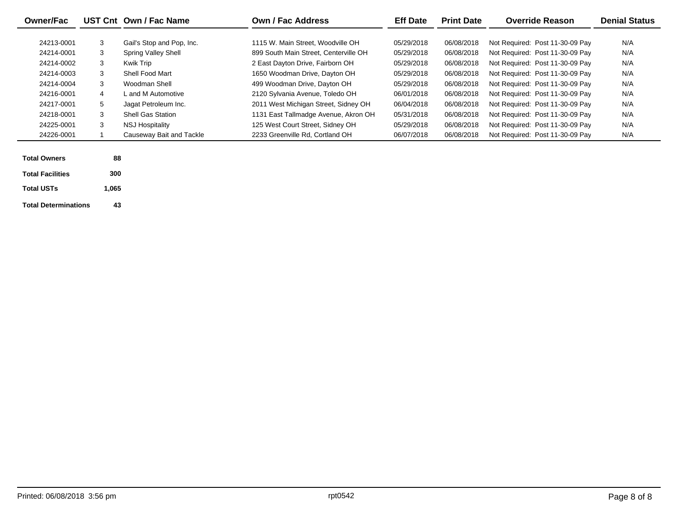| <b>Owner/Fac</b>            |       | UST Cnt Own / Fac Name     | Own / Fac Address                     | <b>Eff Date</b> | <b>Print Date</b> | <b>Override Reason</b>          | <b>Denial Status</b> |
|-----------------------------|-------|----------------------------|---------------------------------------|-----------------|-------------------|---------------------------------|----------------------|
| 24213-0001                  | 3     | Gail's Stop and Pop, Inc.  | 1115 W. Main Street, Woodville OH     | 05/29/2018      | 06/08/2018        | Not Required: Post 11-30-09 Pay | N/A                  |
| 24214-0001                  | 3     | <b>Spring Valley Shell</b> | 899 South Main Street, Centerville OH | 05/29/2018      | 06/08/2018        | Not Required: Post 11-30-09 Pay | N/A                  |
| 24214-0002                  | 3     | Kwik Trip                  | 2 East Dayton Drive, Fairborn OH      | 05/29/2018      | 06/08/2018        | Not Required: Post 11-30-09 Pay | N/A                  |
| 24214-0003                  | 3     | Shell Food Mart            | 1650 Woodman Drive, Dayton OH         | 05/29/2018      | 06/08/2018        | Not Required: Post 11-30-09 Pay | N/A                  |
| 24214-0004                  | 3     | Woodman Shell              | 499 Woodman Drive, Dayton OH          | 05/29/2018      | 06/08/2018        | Not Required: Post 11-30-09 Pay | N/A                  |
| 24216-0001                  | 4     | L and M Automotive         | 2120 Sylvania Avenue, Toledo OH       | 06/01/2018      | 06/08/2018        | Not Required: Post 11-30-09 Pay | N/A                  |
| 24217-0001                  | 5     | Jagat Petroleum Inc.       | 2011 West Michigan Street, Sidney OH  | 06/04/2018      | 06/08/2018        | Not Required: Post 11-30-09 Pay | N/A                  |
| 24218-0001                  | 3     | <b>Shell Gas Station</b>   | 1131 East Tallmadge Avenue, Akron OH  | 05/31/2018      | 06/08/2018        | Not Required: Post 11-30-09 Pay | N/A                  |
| 24225-0001                  | 3     | <b>NSJ Hospitality</b>     | 125 West Court Street, Sidney OH      | 05/29/2018      | 06/08/2018        | Not Required: Post 11-30-09 Pay | N/A                  |
| 24226-0001                  |       | Causeway Bait and Tackle   | 2233 Greenville Rd, Cortland OH       | 06/07/2018      | 06/08/2018        | Not Required: Post 11-30-09 Pay | N/A                  |
| <b>Total Owners</b>         | 88    |                            |                                       |                 |                   |                                 |                      |
| <b>Total Facilities</b>     | 300   |                            |                                       |                 |                   |                                 |                      |
| <b>Total USTs</b>           | 1,065 |                            |                                       |                 |                   |                                 |                      |
| <b>Total Determinations</b> | 43    |                            |                                       |                 |                   |                                 |                      |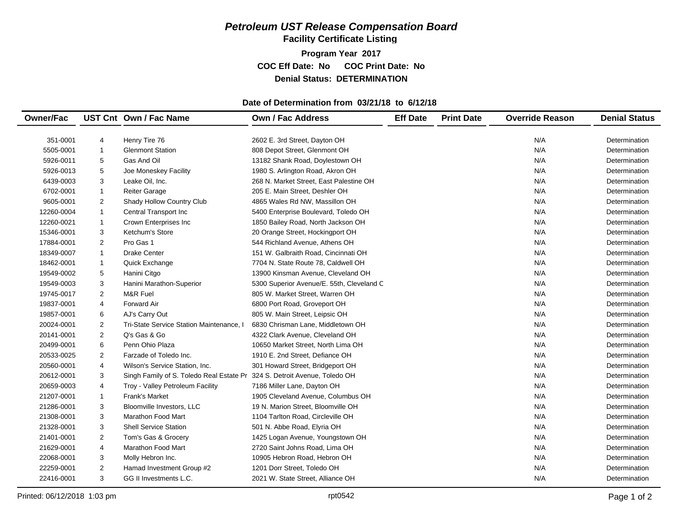**Facility Certificate Listing**

**Program Year 2017 COC Eff Date: No COC Print Date: No Denial Status: DETERMINATION**

#### **Date of Determination from 03/21/18 to 6/12/18**

| <b>Owner/Fac</b> |                | UST Cnt Own / Fac Name                                                    | <b>Own / Fac Address</b>                  | <b>Eff Date</b> | <b>Print Date</b> | <b>Override Reason</b> | <b>Denial Status</b> |
|------------------|----------------|---------------------------------------------------------------------------|-------------------------------------------|-----------------|-------------------|------------------------|----------------------|
| 351-0001         | 4              | Henry Tire 76                                                             | 2602 E. 3rd Street, Dayton OH             |                 |                   | N/A                    | Determination        |
| 5505-0001        | $\mathbf{1}$   | <b>Glenmont Station</b>                                                   | 808 Depot Street, Glenmont OH             |                 |                   | N/A                    | Determination        |
| 5926-0011        | 5              | Gas And Oil                                                               | 13182 Shank Road, Doylestown OH           |                 |                   | N/A                    | Determination        |
| 5926-0013        | 5              | Joe Moneskey Facility                                                     | 1980 S. Arlington Road, Akron OH          |                 |                   | N/A                    | Determination        |
| 6439-0003        | 3              | Leake Oil, Inc.                                                           | 268 N. Market Street, East Palestine OH   |                 |                   | N/A                    | Determination        |
| 6702-0001        | $\mathbf{1}$   | <b>Reiter Garage</b>                                                      | 205 E. Main Street, Deshler OH            |                 |                   | N/A                    | Determination        |
| 9605-0001        | $\overline{2}$ | Shady Hollow Country Club                                                 | 4865 Wales Rd NW, Massillon OH            |                 |                   | N/A                    | Determination        |
| 12260-0004       | $\mathbf{1}$   | Central Transport Inc                                                     | 5400 Enterprise Boulevard, Toledo OH      |                 |                   | N/A                    | Determination        |
| 12260-0021       | $\mathbf{1}$   | Crown Enterprises Inc                                                     | 1850 Bailey Road, North Jackson OH        |                 |                   | N/A                    | Determination        |
| 15346-0001       | 3              | Ketchum's Store                                                           | 20 Orange Street, Hockingport OH          |                 |                   | N/A                    | Determination        |
| 17884-0001       | 2              | Pro Gas 1                                                                 | 544 Richland Avenue, Athens OH            |                 |                   | N/A                    | Determination        |
| 18349-0007       | $\mathbf{1}$   | <b>Drake Center</b>                                                       | 151 W. Galbraith Road, Cincinnati OH      |                 |                   | N/A                    | Determination        |
| 18462-0001       | $\mathbf{1}$   | Quick Exchange                                                            | 7704 N. State Route 78, Caldwell OH       |                 |                   | N/A                    | Determination        |
| 19549-0002       | 5              | Hanini Citgo                                                              | 13900 Kinsman Avenue, Cleveland OH        |                 |                   | N/A                    | Determination        |
| 19549-0003       | 3              | Hanini Marathon-Superior                                                  | 5300 Superior Avenue/E. 55th, Cleveland C |                 |                   | N/A                    | Determination        |
| 19745-0017       | 2              | M&R Fuel                                                                  | 805 W. Market Street, Warren OH           |                 |                   | N/A                    | Determination        |
| 19837-0001       | $\overline{4}$ | <b>Forward Air</b>                                                        | 6800 Port Road, Groveport OH              |                 |                   | N/A                    | Determination        |
| 19857-0001       | 6              | AJ's Carry Out                                                            | 805 W. Main Street, Leipsic OH            |                 |                   | N/A                    | Determination        |
| 20024-0001       | 2              | Tri-State Service Station Maintenance, I                                  | 6830 Chrisman Lane, Middletown OH         |                 |                   | N/A                    | Determination        |
| 20141-0001       | 2              | Q's Gas & Go                                                              | 4322 Clark Avenue, Cleveland OH           |                 |                   | N/A                    | Determination        |
| 20499-0001       | 6              | Penn Ohio Plaza                                                           | 10650 Market Street, North Lima OH        |                 |                   | N/A                    | Determination        |
| 20533-0025       | 2              | Farzade of Toledo Inc.                                                    | 1910 E. 2nd Street, Defiance OH           |                 |                   | N/A                    | Determination        |
| 20560-0001       | $\overline{4}$ | Wilson's Service Station, Inc.                                            | 301 Howard Street, Bridgeport OH          |                 |                   | N/A                    | Determination        |
| 20612-0001       | 3              | Singh Family of S. Toledo Real Estate Pr 324 S. Detroit Avenue, Toledo OH |                                           |                 |                   | N/A                    | Determination        |
| 20659-0003       | $\overline{4}$ | Troy - Valley Petroleum Facility                                          | 7186 Miller Lane, Dayton OH               |                 |                   | N/A                    | Determination        |
| 21207-0001       | $\mathbf{1}$   | <b>Frank's Market</b>                                                     | 1905 Cleveland Avenue, Columbus OH        |                 |                   | N/A                    | Determination        |
| 21286-0001       | 3              | Bloomville Investors, LLC                                                 | 19 N. Marion Street, Bloomville OH        |                 |                   | N/A                    | Determination        |
| 21308-0001       | 3              | <b>Marathon Food Mart</b>                                                 | 1104 Tarlton Road, Circleville OH         |                 |                   | N/A                    | Determination        |
| 21328-0001       | 3              | <b>Shell Service Station</b>                                              | 501 N. Abbe Road, Elyria OH               |                 |                   | N/A                    | Determination        |
| 21401-0001       | 2              | Tom's Gas & Grocery                                                       | 1425 Logan Avenue, Youngstown OH          |                 |                   | N/A                    | Determination        |
| 21629-0001       | $\overline{4}$ | <b>Marathon Food Mart</b>                                                 | 2720 Saint Johns Road, Lima OH            |                 |                   | N/A                    | Determination        |
| 22068-0001       | 3              | Molly Hebron Inc.                                                         | 10905 Hebron Road, Hebron OH              |                 |                   | N/A                    | Determination        |
| 22259-0001       | $\overline{2}$ | Hamad Investment Group #2                                                 | 1201 Dorr Street, Toledo OH               |                 |                   | N/A                    | Determination        |
| 22416-0001       | 3              | GG II Investments L.C.                                                    | 2021 W. State Street, Alliance OH         |                 |                   | N/A                    | Determination        |